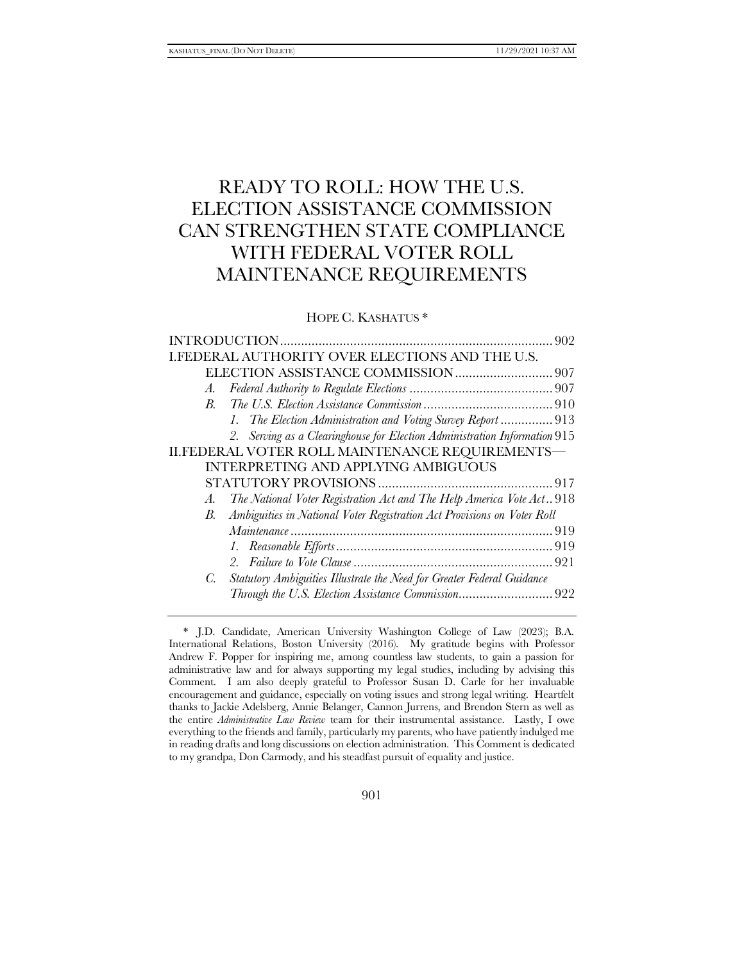# READY TO ROLL: HOW THE U.S. ELECTION ASSISTANCE COMMISSION CAN STRENGTHEN STATE COMPLIANCE WITH FEDERAL VOTER ROLL MAINTENANCE REQUIREMENTS

HOPE C. KASHATUS \*

|             | <b>I.FEDERAL AUTHORITY OVER ELECTIONS AND THE U.S.</b>                    |  |
|-------------|---------------------------------------------------------------------------|--|
|             |                                                                           |  |
| A.          |                                                                           |  |
| $B_{\cdot}$ |                                                                           |  |
|             | 1. The Election Administration and Voting Survey Report  913              |  |
|             | 2. Serving as a Clearinghouse for Election Administration Information 915 |  |
|             | II.FEDERAL VOTER ROLL MAINTENANCE REQUIREMENTS-                           |  |
|             | <b>INTERPRETING AND APPLYING AMBIGUOUS</b>                                |  |
|             |                                                                           |  |
| A.          | The National Voter Registration Act and The Help America Vote Act. 918    |  |
| <i>B</i> .  | Ambiguities in National Voter Registration Act Provisions on Voter Roll   |  |
|             |                                                                           |  |
|             |                                                                           |  |
|             |                                                                           |  |
| C.          | Statutory Ambiguities Illustrate the Need for Greater Federal Guidance    |  |
|             | Through the U.S. Election Assistance Commission922                        |  |

<sup>\*</sup> J.D. Candidate, American University Washington College of Law (2023); B.A. International Relations, Boston University (2016). My gratitude begins with Professor Andrew F. Popper for inspiring me, among countless law students, to gain a passion for administrative law and for always supporting my legal studies, including by advising this Comment. I am also deeply grateful to Professor Susan D. Carle for her invaluable encouragement and guidance, especially on voting issues and strong legal writing. Heartfelt thanks to Jackie Adelsberg, Annie Belanger, Cannon Jurrens, and Brendon Stern as well as the entire *Administrative Law Review* team for their instrumental assistance. Lastly, I owe everything to the friends and family, particularly my parents, who have patiently indulged me in reading drafts and long discussions on election administration. This Comment is dedicated to my grandpa, Don Carmody, and his steadfast pursuit of equality and justice.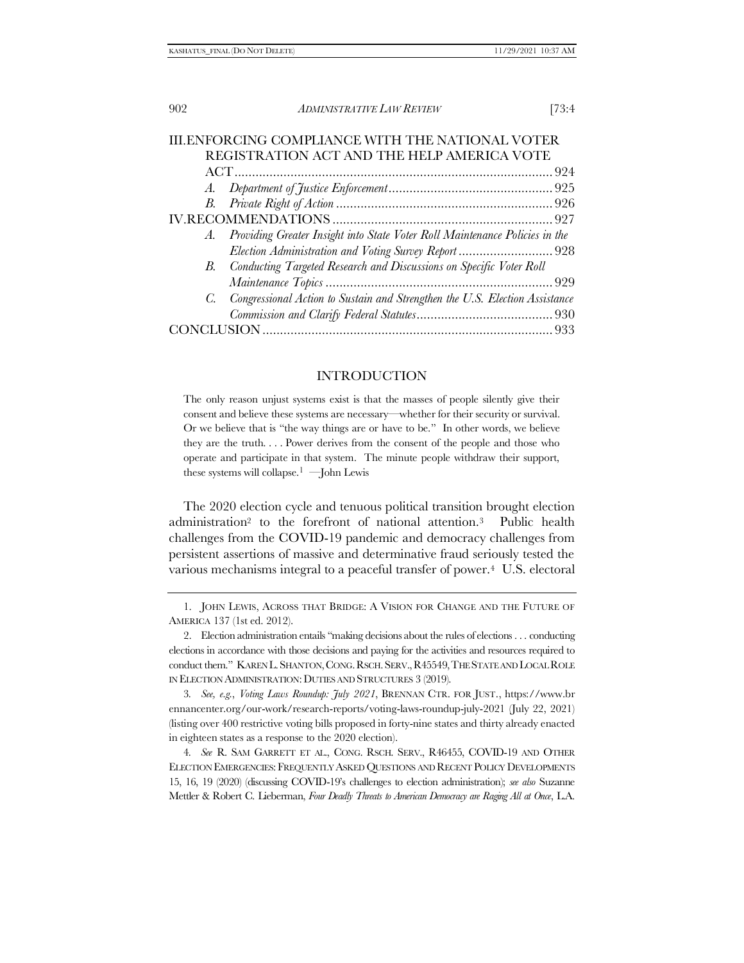|                                            | III.ENFORCING COMPLIANCE WITH THE NATIONAL VOTER                               |  |  |  |
|--------------------------------------------|--------------------------------------------------------------------------------|--|--|--|
| REGISTRATION ACT AND THE HELP AMERICA VOTE |                                                                                |  |  |  |
|                                            |                                                                                |  |  |  |
|                                            |                                                                                |  |  |  |
|                                            |                                                                                |  |  |  |
|                                            |                                                                                |  |  |  |
|                                            | A. Providing Greater Insight into State Voter Roll Maintenance Policies in the |  |  |  |
|                                            | Election Administration and Voting Survey Report  928                          |  |  |  |
|                                            | B. Conducting Targeted Research and Discussions on Specific Voter Roll         |  |  |  |
|                                            |                                                                                |  |  |  |
|                                            | C. Congressional Action to Sustain and Strengthen the U.S. Election Assistance |  |  |  |
|                                            |                                                                                |  |  |  |
|                                            |                                                                                |  |  |  |

#### <span id="page-1-2"></span><span id="page-1-1"></span><span id="page-1-0"></span>INTRODUCTION

The only reason unjust systems exist is that the masses of people silently give their consent and believe these systems are necessary—whether for their security or survival. Or we believe that is "the way things are or have to be." In other words, we believe they are the truth. . . . Power derives from the consent of the people and those who operate and participate in that system. The minute people withdraw their support, these systems will collapse.<sup>1</sup> —John Lewis

The 2020 election cycle and tenuous political transition brought election administration<sup>2</sup> to the forefront of national attention.3 Public health challenges from the COVID-19 pandemic and democracy challenges from persistent assertions of massive and determinative fraud seriously tested the various mechanisms integral to a peaceful transfer of power.4 U.S. electoral

3*. See, e.g.*, *Voting Laws Roundup: July 2021*, BRENNAN CTR. FOR JUST., https://www.br ennancenter.org/our-work/research-reports/voting-laws-roundup-july-2021 (July 22, 2021) (listing over 400 restrictive voting bills proposed in forty-nine states and thirty already enacted in eighteen states as a response to the 2020 election).

4*. See* R. SAM GARRETT ET AL., CONG. RSCH. SERV., R46455, COVID-19 AND OTHER ELECTION EMERGENCIES: FREQUENTLY ASKED QUESTIONS AND RECENT POLICY DEVELOPMENTS 15, 16, 19 (2020) (discussing COVID-19's challenges to election administration); *see also* Suzanne Mettler & Robert C. Lieberman, *Four Deadly Threats to American Democracy are Raging All at Once*, L.A.

<sup>1.</sup> JOHN LEWIS, ACROSS THAT BRIDGE: A VISION FOR CHANGE AND THE FUTURE OF AMERICA 137 (1st ed. 2012).

<sup>2.</sup> Election administration entails "making decisions about the rules of elections . . . conducting elections in accordance with those decisions and paying for the activities and resources required to conduct them." KAREN L.SHANTON,CONG.RSCH.SERV.,R45549,THE STATE AND LOCAL ROLE IN ELECTION ADMINISTRATION:DUTIES AND STRUCTURES 3 (2019).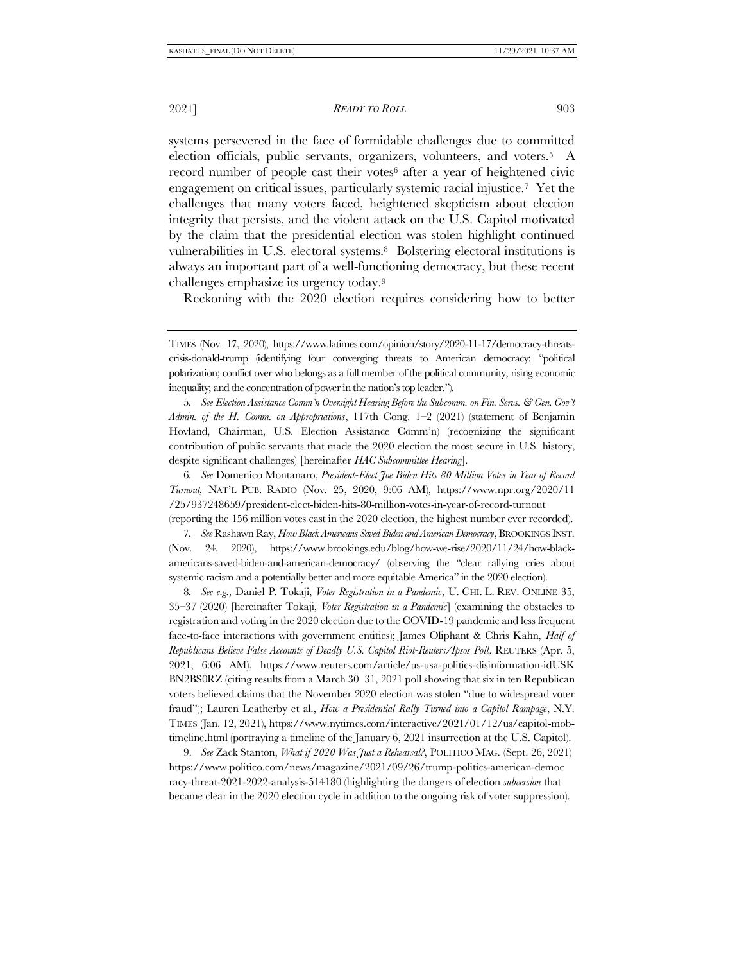2021] *READY TO ROLL* 903

<span id="page-2-2"></span><span id="page-2-0"></span>systems persevered in the face of formidable challenges due to committed election officials, public servants, organizers, volunteers, and voters.5 A record number of people cast their votes<sup>6</sup> after a year of heightened civic engagement on critical issues, particularly systemic racial injustice.7 Yet the challenges that many voters faced, heightened skepticism about election integrity that persists, and the violent attack on the U.S. Capitol motivated by the claim that the presidential election was stolen highlight continued vulnerabilities in U.S. electoral systems.8 Bolstering electoral institutions is always an important part of a well-functioning democracy, but these recent challenges emphasize its urgency today.<sup>9</sup>

<span id="page-2-1"></span>Reckoning with the 2020 election requires considering how to better

5*. See Election Assistance Comm'n Oversight Hearing Before the Subcomm. on Fin. Servs. & Gen. Gov't Admin. of the H. Comm. on Appropriations*, 117th Cong. 1–2 (2021) (statement of Benjamin Hovland, Chairman, U.S. Election Assistance Comm'n) (recognizing the significant contribution of public servants that made the 2020 election the most secure in U.S. history, despite significant challenges) [hereinafter *HAC Subcommittee Hearing*].

6*. See* Domenico Montanaro, *President-Elect Joe Biden Hits 80 Million Votes in Year of Record Turnout,* NAT'L PUB. RADIO (Nov. 25, 2020, 9:06 AM), https://www.npr.org/2020/11 /25/937248659/president-elect-biden-hits-80-million-votes-in-year-of-record-turnout (reporting the 156 million votes cast in the 2020 election, the highest number ever recorded).

7*. See* Rashawn Ray, *How Black Americans Saved Biden and American Democracy*, BROOKINGS INST. (Nov. 24, 2020), https://www.brookings.edu/blog/how-we-rise/2020/11/24/how-blackamericans-saved-biden-and-american-democracy/ (observing the "clear rallying cries about systemic racism and a potentially better and more equitable America" in the 2020 election).

8*. See e.g.*, Daniel P. Tokaji, *Voter Registration in a Pandemic*, U. CHI. L. REV. ONLINE 35, 35–37 (2020) [hereinafter Tokaji, *Voter Registration in a Pandemic*] (examining the obstacles to registration and voting in the 2020 election due to the COVID-19 pandemic and less frequent face-to-face interactions with government entities); James Oliphant & Chris Kahn, *Half of Republicans Believe False Accounts of Deadly U.S. Capitol Riot-Reuters/Ipsos Poll*, REUTERS (Apr. 5, 2021, 6:06 AM), https://www.reuters.com/article/us-usa-politics-disinformation-idUSK BN2BS0RZ (citing results from a March 30–31, 2021 poll showing that six in ten Republican voters believed claims that the November 2020 election was stolen "due to widespread voter fraud"); Lauren Leatherby et al., *How a Presidential Rally Turned into a Capitol Rampage*, N.Y. TIMES (Jan. 12, 2021), https://www.nytimes.com/interactive/2021/01/12/us/capitol-mobtimeline.html (portraying a timeline of the January 6, 2021 insurrection at the U.S. Capitol).

9. *See* Zack Stanton, *What if 2020 Was Just a Rehearsal?*, POLITICO MAG. (Sept. 26, 2021) https://www.politico.com/news/magazine/2021/09/26/trump-politics-american-democ racy-threat-2021-2022-analysis-514180 (highlighting the dangers of election *subversion* that became clear in the 2020 election cycle in addition to the ongoing risk of voter suppression).

TIMES (Nov. 17, 2020), https://www.latimes.com/opinion/story/2020-11-17/democracy-threatscrisis-donald-trump (identifying four converging threats to American democracy: "political polarization; conflict over who belongs as a full member of the political community; rising economic inequality; and the concentration of power in the nation's top leader.").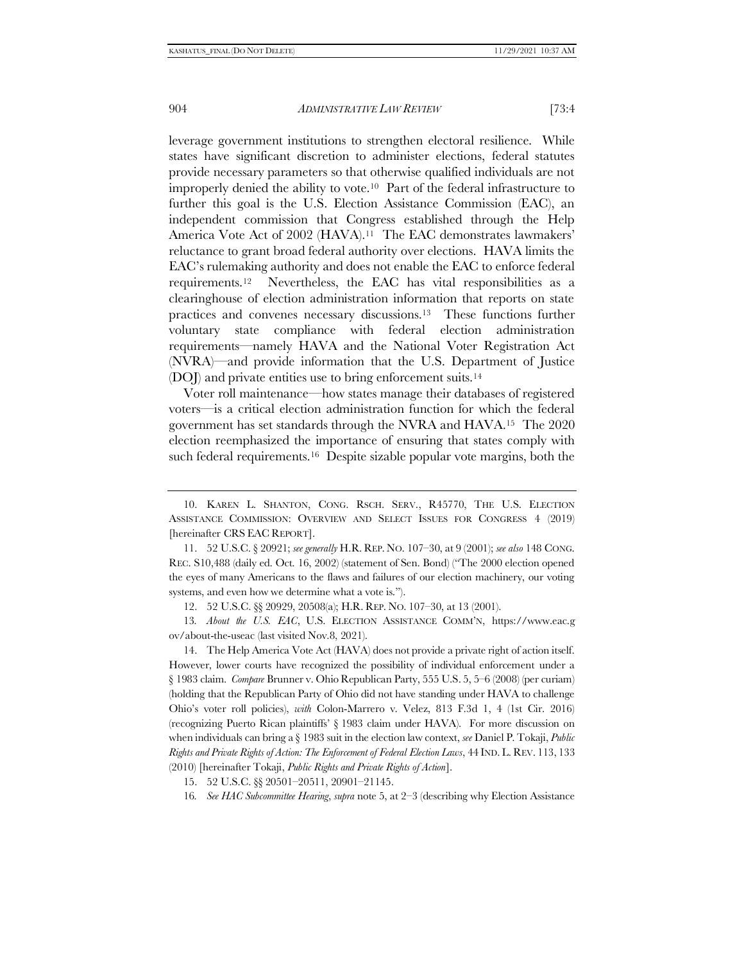<span id="page-3-1"></span><span id="page-3-0"></span>leverage government institutions to strengthen electoral resilience. While states have significant discretion to administer elections, federal statutes provide necessary parameters so that otherwise qualified individuals are not improperly denied the ability to vote.10 Part of the federal infrastructure to further this goal is the U.S. Election Assistance Commission (EAC), an independent commission that Congress established through the Help America Vote Act of 2002 (HAVA).<sup>11</sup> The EAC demonstrates lawmakers' reluctance to grant broad federal authority over elections. HAVA limits the EAC's rulemaking authority and does not enable the EAC to enforce federal requirements.12 Nevertheless, the EAC has vital responsibilities as a clearinghouse of election administration information that reports on state practices and convenes necessary discussions.13 These functions further voluntary state compliance with federal election administration requirements—namely HAVA and the National Voter Registration Act (NVRA)—and provide information that the U.S. Department of Justice (DOJ) and private entities use to bring enforcement suits.<sup>14</sup>

<span id="page-3-3"></span><span id="page-3-2"></span>Voter roll maintenance—how states manage their databases of registered voters—is a critical election administration function for which the federal government has set standards through the NVRA and HAVA.15 The 2020 election reemphasized the importance of ensuring that states comply with such federal requirements.<sup>16</sup> Despite sizable popular vote margins, both the

12. 52 U.S.C. §§ 20929, 20508(a); H.R. REP. NO. 107–30, at 13 (2001).

13*. About the U.S. EAC*, U.S. ELECTION ASSISTANCE COMM'N, https://www.eac.g ov/about-the-useac (last visited Nov.8, 2021).

14. The Help America Vote Act (HAVA) does not provide a private right of action itself. However, lower courts have recognized the possibility of individual enforcement under a § 1983 claim. *Compare* Brunner v. Ohio Republican Party, 555 U.S. 5, 5–6 (2008) (per curiam) (holding that the Republican Party of Ohio did not have standing under HAVA to challenge Ohio's voter roll policies), *with* Colon-Marrero v. Velez, 813 F.3d 1, 4 (1st Cir. 2016) (recognizing Puerto Rican plaintiffs' § 1983 claim under HAVA). For more discussion on when individuals can bring a § 1983 suit in the election law context, *see* Daniel P. Tokaji, *Public Rights and Private Rights of Action: The Enforcement of Federal Election Laws*, 44 IND. L. REV. 113, 133 (2010) [hereinafter Tokaji, *Public Rights and Private Rights of Action*].

15. 52 U.S.C. §§ 20501–20511, 20901–21145.

<sup>10.</sup> KAREN L. SHANTON, CONG. RSCH. SERV., R45770, THE U.S. ELECTION ASSISTANCE COMMISSION: OVERVIEW AND SELECT ISSUES FOR CONGRESS 4 (2019) [hereinafter CRS EAC REPORT].

<sup>11.</sup> 52 U.S.C. § 20921; *see generally* H.R. REP. NO. 107–30, at 9 (2001); *see also* 148 CONG. REC. S10,488 (daily ed. Oct. 16, 2002) (statement of Sen. Bond) ("The 2000 election opened the eyes of many Americans to the flaws and failures of our election machinery, our voting systems, and even how we determine what a vote is.").

<sup>16</sup>*. See HAC Subcommittee Hearing*, *supra* note [5,](#page-2-0) at 2–3 (describing why Election Assistance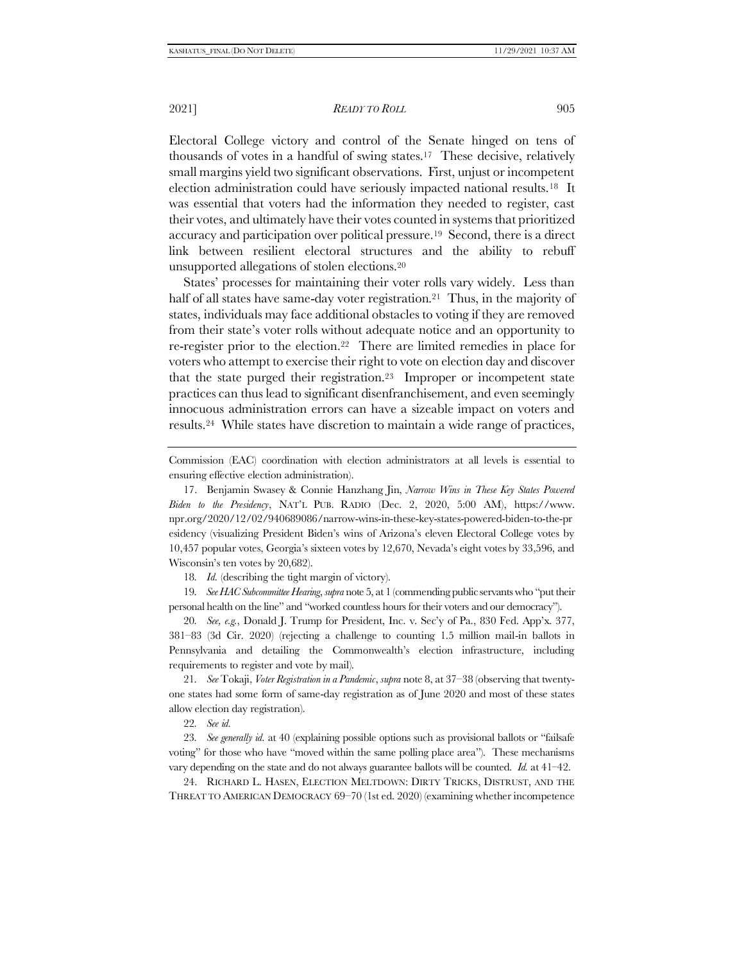Electoral College victory and control of the Senate hinged on tens of thousands of votes in a handful of swing states.17 These decisive, relatively small margins yield two significant observations. First, unjust or incompetent election administration could have seriously impacted national results.18 It was essential that voters had the information they needed to register, cast their votes, and ultimately have their votes counted in systems that prioritized accuracy and participation over political pressure.19 Second, there is a direct link between resilient electoral structures and the ability to rebuff unsupported allegations of stolen elections.<sup>20</sup>

States' processes for maintaining their voter rolls vary widely. Less than half of all states have same-day voter registration.<sup>21</sup> Thus, in the majority of states, individuals may face additional obstacles to voting if they are removed from their state's voter rolls without adequate notice and an opportunity to re-register prior to the election.22 There are limited remedies in place for voters who attempt to exercise their right to vote on election day and discover that the state purged their registration.23 Improper or incompetent state practices can thus lead to significant disenfranchisement, and even seemingly innocuous administration errors can have a sizeable impact on voters and results.24 While states have discretion to maintain a wide range of practices,

<span id="page-4-0"></span>Commission (EAC) coordination with election administrators at all levels is essential to ensuring effective election administration).

17. Benjamin Swasey & Connie Hanzhang Jin, *Narrow Wins in These Key States Powered Biden to the Presidency*, NAT'L PUB. RADIO (Dec. 2, 2020, 5:00 AM), https://www. npr.org/2020/12/02/940689086/narrow-wins-in-these-key-states-powered-biden-to-the-pr esidency (visualizing President Biden's wins of Arizona's eleven Electoral College votes by 10,457 popular votes, Georgia's sixteen votes by 12,670, Nevada's eight votes by 33,596, and Wisconsin's ten votes by 20,682).

18*. Id.* (describing the tight margin of victory).

19*. See HAC Subcommittee Hearing*, *supra* not[e 5](#page-2-0), at 1 (commending public servants who "put their personal health on the line" and "worked countless hours for their voters and our democracy").

20*. See, e.g.*, Donald J. Trump for President, Inc. v. Sec'y of Pa., 830 Fed. App'x. 377, 381–83 (3d Cir. 2020) (rejecting a challenge to counting 1.5 million mail-in ballots in Pennsylvania and detailing the Commonwealth's election infrastructure, including requirements to register and vote by mail).

21*. See* Tokaji, *Voter Registration in a Pandemic*, *supra* not[e 8,](#page-2-1) at 37–38 (observing that twentyone states had some form of same-day registration as of June 2020 and most of these states allow election day registration).

22*. See id.* 

23*. See generally id.* at 40 (explaining possible options such as provisional ballots or "failsafe voting" for those who have "moved within the same polling place area"). These mechanisms vary depending on the state and do not always guarantee ballots will be counted. *Id.* at 41–42.

24. RICHARD L. HASEN, ELECTION MELTDOWN: DIRTY TRICKS, DISTRUST, AND THE THREAT TO AMERICAN DEMOCRACY 69–70 (1st ed. 2020) (examining whether incompetence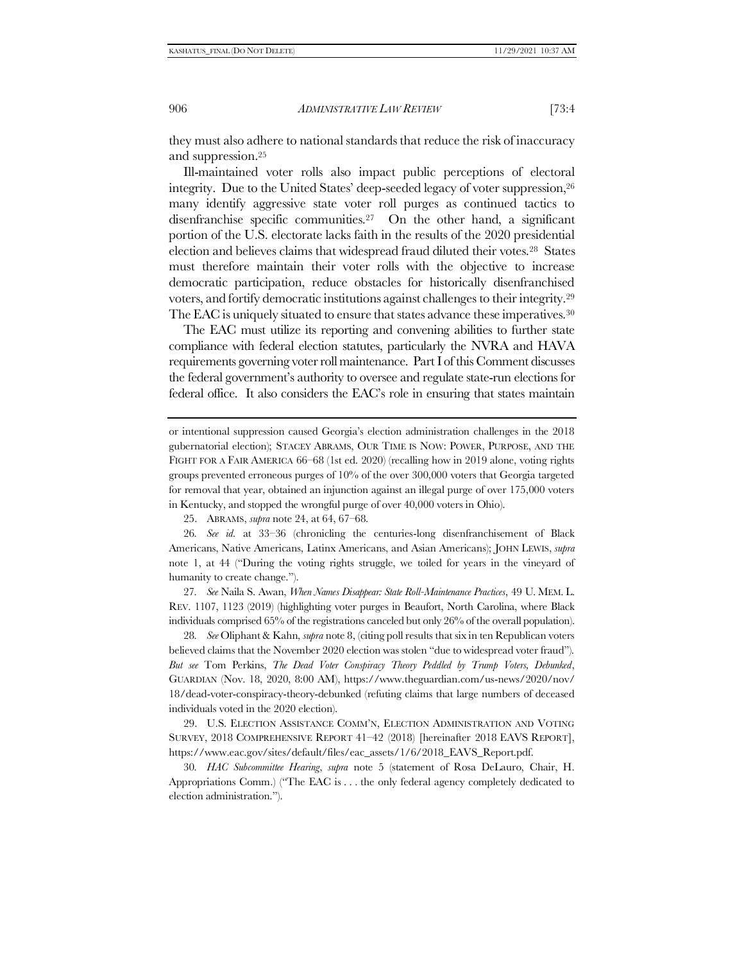they must also adhere to national standards that reduce the risk of inaccuracy and suppression.<sup>25</sup>

<span id="page-5-0"></span>Ill-maintained voter rolls also impact public perceptions of electoral integrity. Due to the United States' deep-seeded legacy of voter suppression,<sup>26</sup> many identify aggressive state voter roll purges as continued tactics to disenfranchise specific communities.<sup>27</sup> On the other hand, a significant portion of the U.S. electorate lacks faith in the results of the 2020 presidential election and believes claims that widespread fraud diluted their votes.28 States must therefore maintain their voter rolls with the objective to increase democratic participation, reduce obstacles for historically disenfranchised voters, and fortify democratic institutions against challenges to their integrity.<sup>29</sup> The EAC is uniquely situated to ensure that states advance these imperatives.<sup>30</sup>

<span id="page-5-1"></span>The EAC must utilize its reporting and convening abilities to further state compliance with federal election statutes, particularly the NVRA and HAVA requirements governing voter roll maintenance. Part I of this Comment discusses the federal government's authority to oversee and regulate state-run elections for federal office. It also considers the EAC's role in ensuring that states maintain

25. ABRAMS, *supra* note [24,](#page-4-0) at 64, 67–68.

26*. See id.* at 33–36 (chronicling the centuries-long disenfranchisement of Black Americans, Native Americans, Latinx Americans, and Asian Americans); JOHN LEWIS, *supra*  note [1](#page-1-0), at 44 ("During the voting rights struggle, we toiled for years in the vineyard of humanity to create change.").

27*. See* Naila S. Awan, *When Names Disappear: State Roll-Maintenance Practices*, 49 U. MEM. L. REV. 1107, 1123 (2019) (highlighting voter purges in Beaufort, North Carolina, where Black individuals comprised 65% of the registrations canceled but only 26% of the overall population).

28*. See* Oliphant & Kahn, *supra* not[e 8,](#page-2-1) (citing poll results that six in ten Republican voters believed claims that the November 2020 election was stolen "due to widespread voter fraud"). *But see* Tom Perkins, *The Dead Voter Conspiracy Theory Peddled by Trump Voters, Debunked*, GUARDIAN (Nov. 18, 2020, 8:00 AM), https://www.theguardian.com/us-news/2020/nov/ 18/dead-voter-conspiracy-theory-debunked (refuting claims that large numbers of deceased individuals voted in the 2020 election).

29. U.S. ELECTION ASSISTANCE COMM'N, ELECTION ADMINISTRATION AND VOTING SURVEY, 2018 COMPREHENSIVE REPORT 41–42 (2018) [hereinafter 2018 EAVS REPORT], https://www.eac.gov/sites/default/files/eac\_assets/1/6/2018\_EAVS\_Report.pdf.

30*. HAC Subcommittee Hearing*, *supra* note [5](#page-2-0) (statement of Rosa DeLauro, Chair, H. Appropriations Comm.) ("The EAC is . . . the only federal agency completely dedicated to election administration.").

or intentional suppression caused Georgia's election administration challenges in the 2018 gubernatorial election); STACEY ABRAMS, OUR TIME IS NOW: POWER, PURPOSE, AND THE FIGHT FOR A FAIR AMERICA 66–68 (1st ed. 2020) (recalling how in 2019 alone, voting rights groups prevented erroneous purges of 10% of the over 300,000 voters that Georgia targeted for removal that year, obtained an injunction against an illegal purge of over 175,000 voters in Kentucky, and stopped the wrongful purge of over 40,000 voters in Ohio).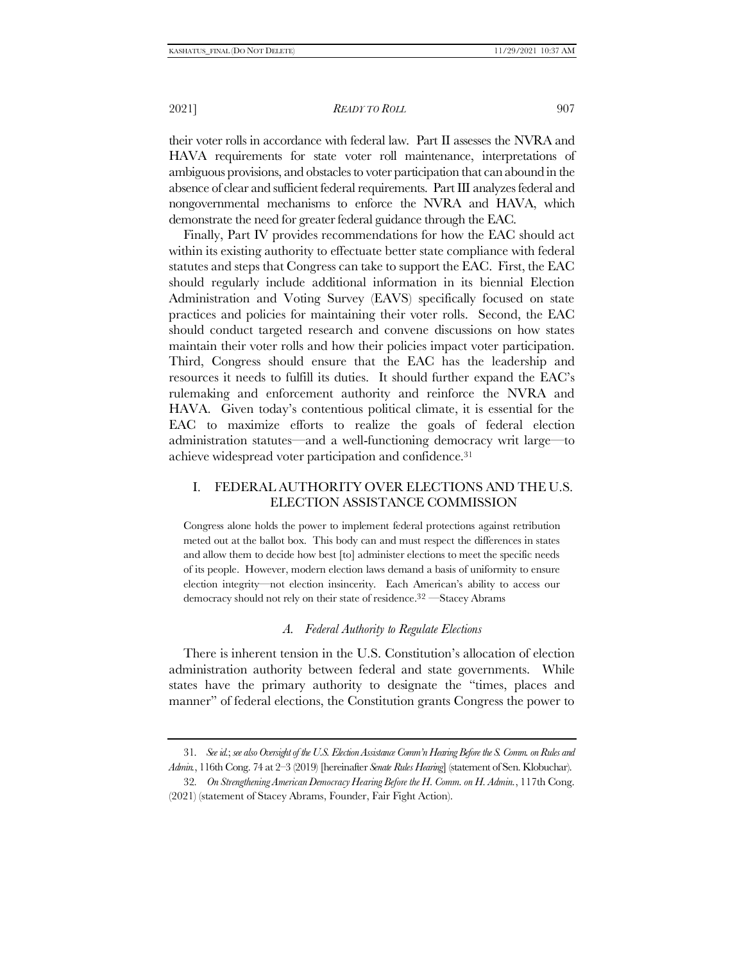their voter rolls in accordance with federal law. Part II assesses the NVRA and HAVA requirements for state voter roll maintenance, interpretations of ambiguous provisions, and obstacles to voter participation that can abound in the absence of clear and sufficient federal requirements. Part III analyzes federal and nongovernmental mechanisms to enforce the NVRA and HAVA, which demonstrate the need for greater federal guidance through the EAC.

Finally, Part IV provides recommendations for how the EAC should act within its existing authority to effectuate better state compliance with federal statutes and steps that Congress can take to support the EAC. First, the EAC should regularly include additional information in its biennial Election Administration and Voting Survey (EAVS) specifically focused on state practices and policies for maintaining their voter rolls. Second, the EAC should conduct targeted research and convene discussions on how states maintain their voter rolls and how their policies impact voter participation. Third, Congress should ensure that the EAC has the leadership and resources it needs to fulfill its duties. It should further expand the EAC's rulemaking and enforcement authority and reinforce the NVRA and HAVA. Given today's contentious political climate, it is essential for the EAC to maximize efforts to realize the goals of federal election administration statutes—and a well-functioning democracy writ large—to achieve widespread voter participation and confidence.<sup>31</sup>

# I. FEDERAL AUTHORITY OVER ELECTIONS AND THE U.S. ELECTION ASSISTANCE COMMISSION

Congress alone holds the power to implement federal protections against retribution meted out at the ballot box. This body can and must respect the differences in states and allow them to decide how best [to] administer elections to meet the specific needs of its people. However, modern election laws demand a basis of uniformity to ensure election integrity—not election insincerity. Each American's ability to access our democracy should not rely on their state of residence. 32 —Stacey Abrams

## <span id="page-6-0"></span>*A. Federal Authority to Regulate Elections*

There is inherent tension in the U.S. Constitution's allocation of election administration authority between federal and state governments. While states have the primary authority to designate the "times, places and manner" of federal elections, the Constitution grants Congress the power to

<sup>31</sup>*. See id.*; *see alsoOversight of the U.S. Election Assistance Comm'n Hearing Before the S. Comm. on Rules and Admin.*, 116th Cong. 74 at 2–3 (2019) [hereinafter *Senate Rules Hearing*] (statement of Sen. Klobuchar).

<sup>32</sup>*. On Strengthening American Democracy Hearing Before the H. Comm. on H. Admin.*, 117th Cong. (2021) (statement of Stacey Abrams, Founder, Fair Fight Action).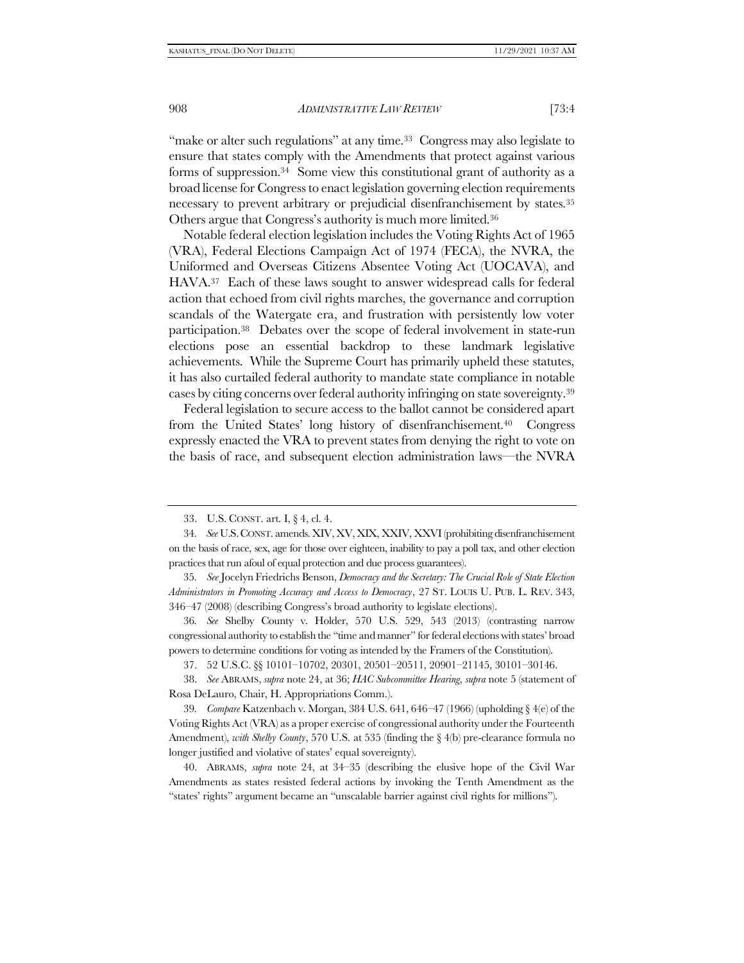"make or alter such regulations" at any time.<sup>33</sup> Congress may also legislate to ensure that states comply with the Amendments that protect against various forms of suppression.34 Some view this constitutional grant of authority as a broad license for Congress to enact legislation governing election requirements necessary to prevent arbitrary or prejudicial disenfranchisement by states.<sup>35</sup> Others argue that Congress's authority is much more limited.<sup>36</sup>

Notable federal election legislation includes the Voting Rights Act of 1965 (VRA), Federal Elections Campaign Act of 1974 (FECA), the NVRA, the Uniformed and Overseas Citizens Absentee Voting Act (UOCAVA), and HAVA.37 Each of these laws sought to answer widespread calls for federal action that echoed from civil rights marches, the governance and corruption scandals of the Watergate era, and frustration with persistently low voter participation.<sup>38</sup> Debates over the scope of federal involvement in state-run elections pose an essential backdrop to these landmark legislative achievements. While the Supreme Court has primarily upheld these statutes, it has also curtailed federal authority to mandate state compliance in notable cases by citing concerns over federal authority infringing on state sovereignty.<sup>39</sup>

Federal legislation to secure access to the ballot cannot be considered apart from the United States' long history of disenfranchisement.40 Congress expressly enacted the VRA to prevent states from denying the right to vote on the basis of race, and subsequent election administration laws—the NVRA

36*. See* Shelby County v. Holder, 570 U.S. 529, 543 (2013) (contrasting narrow congressional authority to establish the "time and manner" for federal elections with states' broad powers to determine conditions for voting as intended by the Framers of the Constitution).

37. 52 U.S.C. §§ 10101–10702, 20301, 20501–20511, 20901–21145, 30101–30146.

38. *See* ABRAMS, *supra* note [24,](#page-4-0) at 36; *HAC Subcommittee Hearing*, *supra* note [5](#page-2-0) (statement of Rosa DeLauro, Chair, H. Appropriations Comm.).

39*. Compare* Katzenbach v. Morgan, 384 U.S. 641, 646–47 (1966) (upholding § 4(e) of the Voting Rights Act (VRA) as a proper exercise of congressional authority under the Fourteenth Amendment), *with Shelby County*, 570 U.S. at 535 (finding the § 4(b) pre-clearance formula no longer justified and violative of states' equal sovereignty).

40. ABRAMS, *supra* note [24,](#page-4-0) at 34–35 (describing the elusive hope of the Civil War Amendments as states resisted federal actions by invoking the Tenth Amendment as the "states' rights" argument became an "unscalable barrier against civil rights for millions").

<sup>33.</sup> U.S. CONST. art. I, § 4, cl. 4.

<sup>34</sup>*. See* U.S.CONST. amends. XIV, XV, XIX, XXIV, XXVI (prohibiting disenfranchisement on the basis of race, sex, age for those over eighteen, inability to pay a poll tax, and other election practices that run afoul of equal protection and due process guarantees).

<sup>35</sup>*. See* Jocelyn Friedrichs Benson, *Democracy and the Secretary: The Crucial Role of State Election Administrators in Promoting Accuracy and Access to Democracy*, 27 ST. LOUIS U. PUB. L. REV. 343, 346–47 (2008) (describing Congress's broad authority to legislate elections).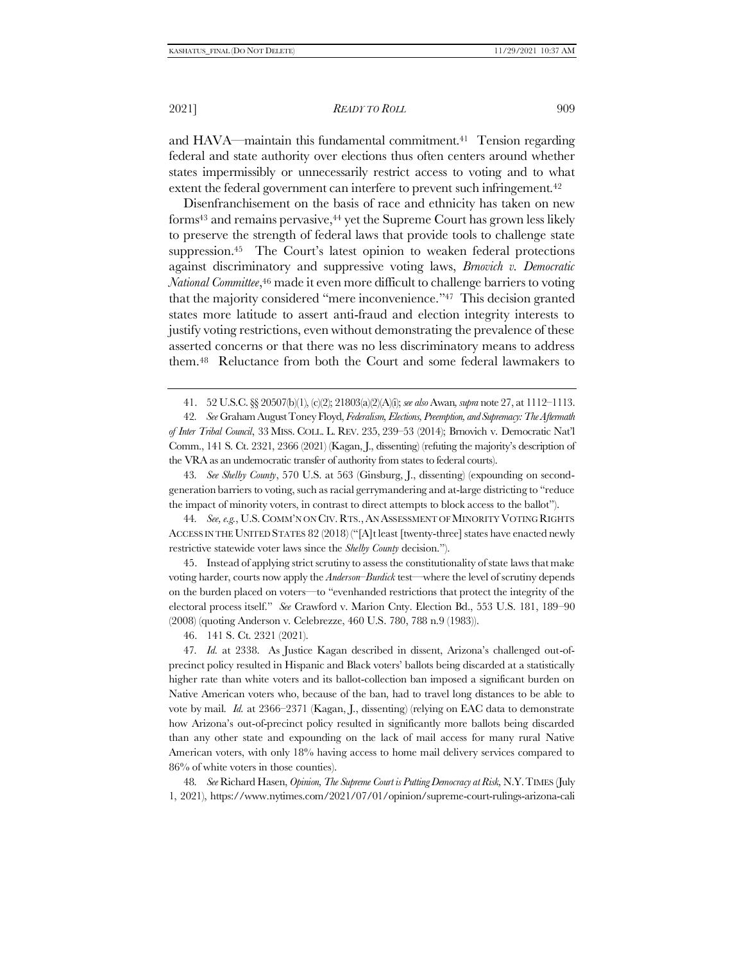2021] *READY TO ROLL* 909

and HAVA—maintain this fundamental commitment.41 Tension regarding federal and state authority over elections thus often centers around whether states impermissibly or unnecessarily restrict access to voting and to what extent the federal government can interfere to prevent such infringement.<sup>42</sup>

<span id="page-8-1"></span>Disenfranchisement on the basis of race and ethnicity has taken on new forms<sup>43</sup> and remains pervasive,<sup>44</sup> yet the Supreme Court has grown less likely to preserve the strength of federal laws that provide tools to challenge state suppression. <sup>45</sup> The Court's latest opinion to weaken federal protections against discriminatory and suppressive voting laws, *Brnovich v. Democratic National Committee*, <sup>46</sup> made it even more difficult to challenge barriers to voting that the majority considered "mere inconvenience."47 This decision granted states more latitude to assert anti-fraud and election integrity interests to justify voting restrictions, even without demonstrating the prevalence of these asserted concerns or that there was no less discriminatory means to address them.48 Reluctance from both the Court and some federal lawmakers to

42*. See* Graham August Toney Floyd, *Federalism, Elections, Preemption, and Supremacy: The Aftermath of Inter Tribal Council*, 33 MISS. COLL. L. REV. 235, 239–53 (2014); Brnovich v. Democratic Nat'l Comm., 141 S. Ct. 2321, 2366 (2021) (Kagan, J., dissenting) (refuting the majority's description of the VRA as an undemocratic transfer of authority from states to federal courts).

43*. See Shelby County*, 570 U.S. at 563 (Ginsburg, J., dissenting) (expounding on secondgeneration barriers to voting, such as racial gerrymandering and at-large districting to "reduce the impact of minority voters, in contrast to direct attempts to block access to the ballot").

44*. See, e.g.*, U.S. COMM'N ON CIV.RTS.,AN ASSESSMENT OF MINORITY VOTING RIGHTS ACCESS IN THE UNITED STATES 82 (2018) ("[A]t least [twenty-three] states have enacted newly restrictive statewide voter laws since the *Shelby County* decision.").

45. Instead of applying strict scrutiny to assess the constitutionality of state laws that make voting harder, courts now apply the *Anderson–Burdick* test—where the level of scrutiny depends on the burden placed on voters—to "evenhanded restrictions that protect the integrity of the electoral process itself." *See* Crawford v. Marion Cnty. Election Bd., 553 U.S. 181, 189–90 (2008) (quoting Anderson v. Celebrezze, 460 U.S. 780, 788 n.9 (1983)).

46. 141 S. Ct. 2321 (2021).

47*. Id.* at 2338. As Justice Kagan described in dissent, Arizona's challenged out-ofprecinct policy resulted in Hispanic and Black voters' ballots being discarded at a statistically higher rate than white voters and its ballot-collection ban imposed a significant burden on Native American voters who, because of the ban, had to travel long distances to be able to vote by mail. *Id.* at 2366–2371 (Kagan, J., dissenting) (relying on EAC data to demonstrate how Arizona's out-of-precinct policy resulted in significantly more ballots being discarded than any other state and expounding on the lack of mail access for many rural Native American voters, with only 18% having access to home mail delivery services compared to 86% of white voters in those counties).

48*. See* Richard Hasen, *Opinion, The Supreme Court is Putting Democracy at Risk,* N.Y.TIMES (July 1, 2021), https://www.nytimes.com/2021/07/01/opinion/supreme-court-rulings-arizona-cali

<span id="page-8-0"></span><sup>41.</sup> 52 U.S.C. §§ 20507(b)(1), (c)(2); 21803(a)(2)(A)(i); *see also* Awan*, supra* not[e 27,](#page-5-0) at 1112–1113.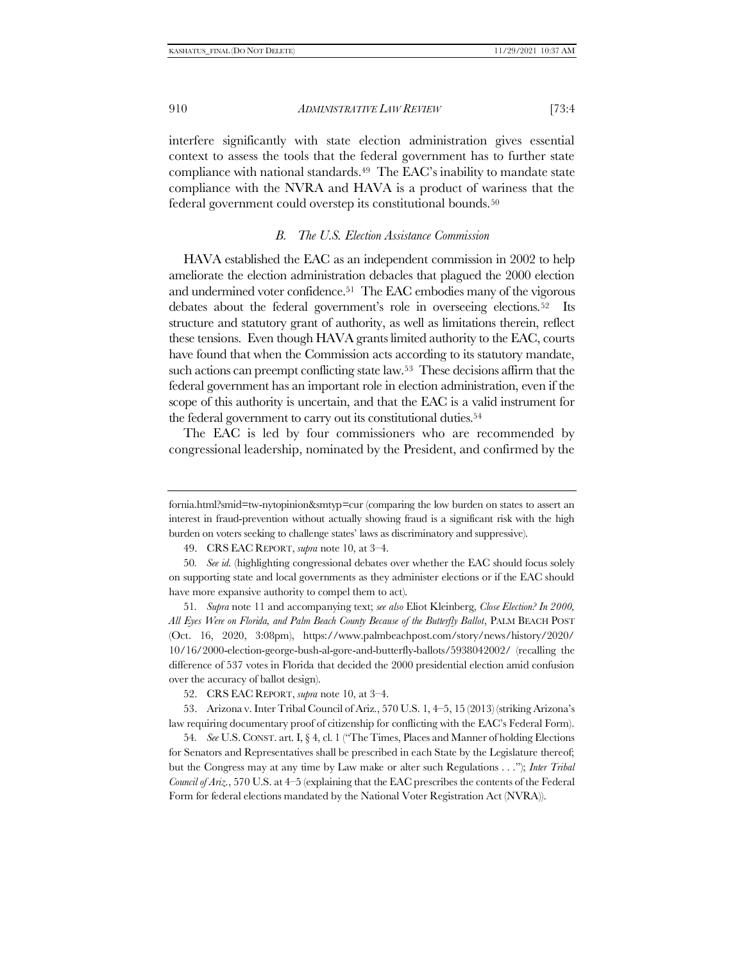interfere significantly with state election administration gives essential context to assess the tools that the federal government has to further state compliance with national standards.<sup>49</sup> The EAC's inability to mandate state compliance with the NVRA and HAVA is a product of wariness that the federal government could overstep its constitutional bounds.<sup>50</sup>

#### *B. The U.S. Election Assistance Commission*

<span id="page-9-0"></span>HAVA established the EAC as an independent commission in 2002 to help ameliorate the election administration debacles that plagued the 2000 election and undermined voter confidence.51 The EAC embodies many of the vigorous debates about the federal government's role in overseeing elections.52 Its structure and statutory grant of authority, as well as limitations therein, reflect these tensions. Even though HAVA grants limited authority to the EAC, courts have found that when the Commission acts according to its statutory mandate, such actions can preempt conflicting state law.53 These decisions affirm that the federal government has an important role in election administration, even if the scope of this authority is uncertain, and that the EAC is a valid instrument for the federal government to carry out its constitutional duties.<sup>54</sup>

The EAC is led by four commissioners who are recommended by congressional leadership, nominated by the President, and confirmed by the

49. CRS EAC REPORT, *supra* note [10,](#page-3-0) at 3–4.

51*. Supra* note [11](#page-3-1) and accompanying text; *see also* Eliot Kleinberg, *Close Election? In 2000, All Eyes Were on Florida, and Palm Beach County Because of the Butterfly Ballot*, PALM BEACH POST (Oct. 16, 2020, 3:08pm), https://www.palmbeachpost.com/story/news/history/2020/ 10/16/2000-election-george-bush-al-gore-and-butterfly-ballots/5938042002/ (recalling the difference of 537 votes in Florida that decided the 2000 presidential election amid confusion over the accuracy of ballot design).

52. CRS EAC REPORT, *supra* note [10,](#page-3-0) at 3–4.

53. Arizona v. Inter Tribal Council of Ariz., 570 U.S. 1, 4–5, 15 (2013) (striking Arizona's law requiring documentary proof of citizenship for conflicting with the EAC's Federal Form).

54*. See* U.S. CONST. art. I, § 4, cl. 1 ("The Times, Places and Manner of holding Elections for Senators and Representatives shall be prescribed in each State by the Legislature thereof; but the Congress may at any time by Law make or alter such Regulations . . ."); *Inter Tribal Council of Ariz.*, 570 U.S. at 4–5 (explaining that the EAC prescribes the contents of the Federal Form for federal elections mandated by the National Voter Registration Act (NVRA)).

fornia.html?smid=tw-nytopinion&smtyp=cur (comparing the low burden on states to assert an interest in fraud-prevention without actually showing fraud is a significant risk with the high burden on voters seeking to challenge states' laws as discriminatory and suppressive).

<sup>50</sup>*. See id.* (highlighting congressional debates over whether the EAC should focus solely on supporting state and local governments as they administer elections or if the EAC should have more expansive authority to compel them to act).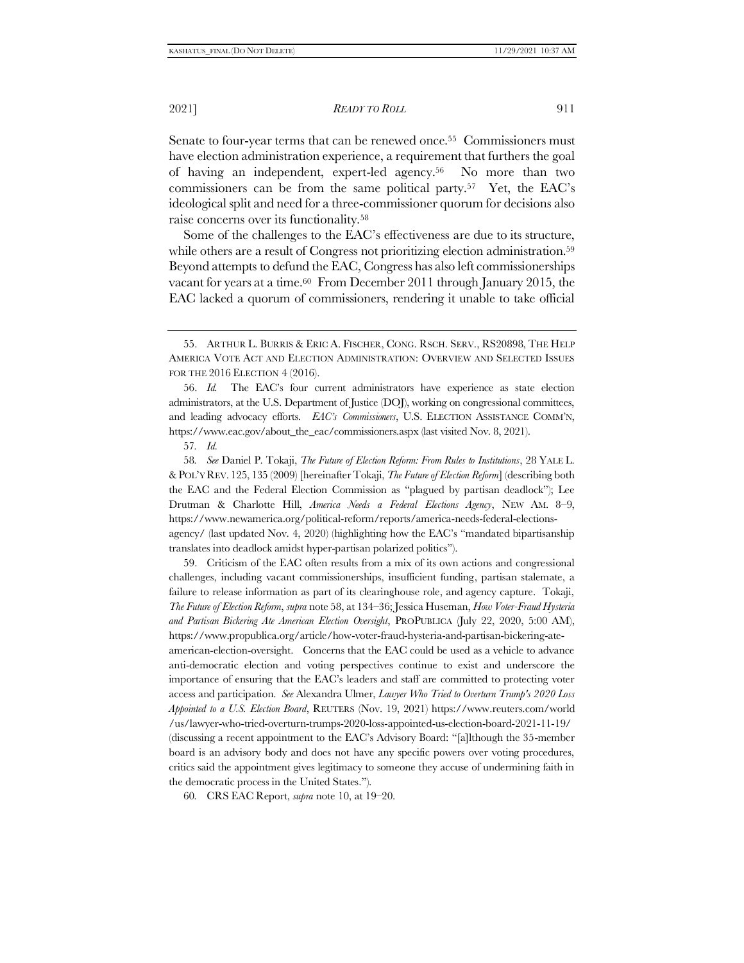<span id="page-10-1"></span>Senate to four-year terms that can be renewed once.<sup>55</sup> Commissioners must have election administration experience, a requirement that furthers the goal of having an independent, expert-led agency.56 No more than two commissioners can be from the same political party.57 Yet, the EAC's ideological split and need for a three-commissioner quorum for decisions also raise concerns over its functionality.<sup>58</sup>

<span id="page-10-0"></span>Some of the challenges to the EAC's effectiveness are due to its structure, while others are a result of Congress not prioritizing election administration.<sup>59</sup> Beyond attempts to defund the EAC, Congress has also left commissionerships vacant for years at a time.60 From December 2011 through January 2015, the EAC lacked a quorum of commissioners, rendering it unable to take official

56. *Id.* The EAC's four current administrators have experience as state election administrators, at the U.S. Department of Justice (DOJ), working on congressional committees, and leading advocacy efforts. *EAC's Commissioners*, U.S. ELECTION ASSISTANCE COMM'N, https://www.eac.gov/about\_the\_eac/commissioners.aspx (last visited Nov. 8, 2021).

57*. Id.* 

58*. See* Daniel P. Tokaji, *The Future of Election Reform: From Rules to Institutions*, 28 YALE L. &POL'Y REV. 125, 135 (2009) [hereinafter Tokaji, *The Future of Election Reform*] (describing both the EAC and the Federal Election Commission as "plagued by partisan deadlock"); Lee Drutman & Charlotte Hill, *America Needs a Federal Elections Agency*, NEW AM. 8–9, https://www.newamerica.org/political-reform/reports/america-needs-federal-electionsagency/ (last updated Nov. 4, 2020) (highlighting how the EAC's "mandated bipartisanship translates into deadlock amidst hyper-partisan polarized politics").

59. Criticism of the EAC often results from a mix of its own actions and congressional challenges, including vacant commissionerships, insufficient funding, partisan stalemate, a failure to release information as part of its clearinghouse role, and agency capture. Tokaji, *The Future of Election Reform*, *supra* note [58,](#page-10-0) at 134–36; Jessica Huseman, *How Voter-Fraud Hysteria and Partisan Bickering Ate American Election Oversight*, PROPUBLICA (July 22, 2020, 5:00 AM), https://www.propublica.org/article/how-voter-fraud-hysteria-and-partisan-bickering-ateamerican-election-oversight. Concerns that the EAC could be used as a vehicle to advance anti-democratic election and voting perspectives continue to exist and underscore the importance of ensuring that the EAC's leaders and staff are committed to protecting voter access and participation. *See* Alexandra Ulmer, *Lawyer Who Tried to Overturn Trump's 2020 Loss Appointed to a U.S. Election Board*, REUTERS (Nov. 19, 2021) https://www.reuters.com/world /us/lawyer-who-tried-overturn-trumps-2020-loss-appointed-us-election-board-2021-11-19/ (discussing a recent appointment to the EAC's Advisory Board: "[a]lthough the 35-member board is an advisory body and does not have any specific powers over voting procedures, critics said the appointment gives legitimacy to someone they accuse of undermining faith in the democratic process in the United States.").

60*.* CRS EAC Report, *supra* note [10,](#page-3-0) at 19–20.

<sup>55.</sup> ARTHUR L. BURRIS & ERIC A. FISCHER, CONG. RSCH. SERV., RS20898, THE HELP AMERICA VOTE ACT AND ELECTION ADMINISTRATION: OVERVIEW AND SELECTED ISSUES FOR THE 2016 ELECTION 4 (2016).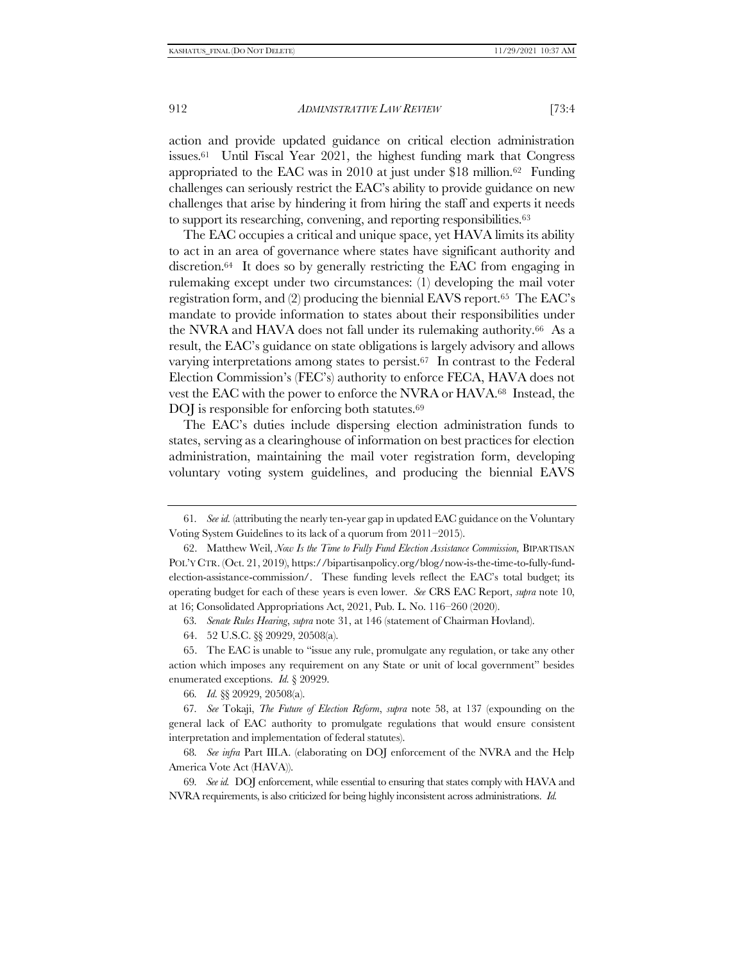<span id="page-11-0"></span>action and provide updated guidance on critical election administration issues.61 Until Fiscal Year 2021, the highest funding mark that Congress appropriated to the EAC was in 2010 at just under \$18 million.62 Funding challenges can seriously restrict the EAC's ability to provide guidance on new challenges that arise by hindering it from hiring the staff and experts it needs to support its researching, convening, and reporting responsibilities.<sup>63</sup>

The EAC occupies a critical and unique space, yet HAVA limits its ability to act in an area of governance where states have significant authority and discretion.64 It does so by generally restricting the EAC from engaging in rulemaking except under two circumstances: (1) developing the mail voter registration form, and (2) producing the biennial EAVS report.65 The EAC's mandate to provide information to states about their responsibilities under the NVRA and HAVA does not fall under its rulemaking authority.66 As a result, the EAC's guidance on state obligations is largely advisory and allows varying interpretations among states to persist.<sup>67</sup> In contrast to the Federal Election Commission's (FEC's) authority to enforce FECA, HAVA does not vest the EAC with the power to enforce the NVRA or HAVA.68 Instead, the DOJ is responsible for enforcing both statutes.<sup>69</sup>

The EAC's duties include dispersing election administration funds to states, serving as a clearinghouse of information on best practices for election administration, maintaining the mail voter registration form, developing voluntary voting system guidelines, and producing the biennial EAVS

66*. Id.* §§ 20929, 20508(a).

67*. See* Tokaji, *The Future of Election Reform*, *supra* note [58,](#page-10-0) at 137 (expounding on the general lack of EAC authority to promulgate regulations that would ensure consistent interpretation and implementation of federal statutes).

68*. See infra* Part III[.A.](#page-24-0) (elaborating on DOJ enforcement of the NVRA and the Help America Vote Act (HAVA)).

69*. See id.* DOJ enforcement, while essential to ensuring that states comply with HAVA and NVRA requirements, is also criticized for being highly inconsistent across administrations. *Id.* 

<sup>61</sup>*. See id.* (attributing the nearly ten-year gap in updated EAC guidance on the Voluntary Voting System Guidelines to its lack of a quorum from 2011–2015).

<sup>62.</sup> Matthew Weil, *Now Is the Time to Fully Fund Election Assistance Commission,* BIPARTISAN POL'Y CTR. (Oct. 21, 2019), https://bipartisanpolicy.org/blog/now-is-the-time-to-fully-fundelection-assistance-commission/. These funding levels reflect the EAC's total budget; its operating budget for each of these years is even lower. *See* CRS EAC Report, *supra* note [10,](#page-3-0) at 16; Consolidated Appropriations Act, 2021, Pub. L. No. 116–260 (2020).

<sup>63</sup>*. Senate Rules Hearing*, *supra* note [31,](#page-6-0) at 146 (statement of Chairman Hovland).

<sup>64.</sup> 52 U.S.C. §§ 20929, 20508(a).

<sup>65.</sup> The EAC is unable to "issue any rule, promulgate any regulation, or take any other action which imposes any requirement on any State or unit of local government" besides enumerated exceptions. *Id.* § 20929.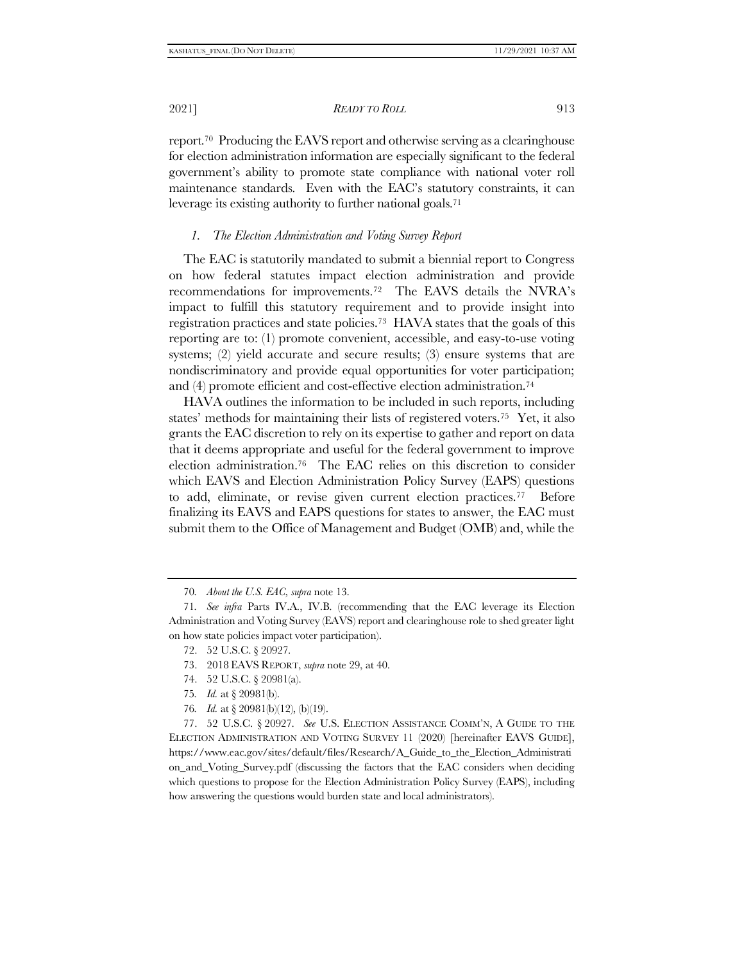2021] *READY TO ROLL* 913

report.70 Producing the EAVS report and otherwise serving as a clearinghouse for election administration information are especially significant to the federal government's ability to promote state compliance with national voter roll maintenance standards. Even with the EAC's statutory constraints, it can leverage its existing authority to further national goals.<sup>71</sup>

## *1. The Election Administration and Voting Survey Report*

The EAC is statutorily mandated to submit a biennial report to Congress on how federal statutes impact election administration and provide recommendations for improvements.72 The EAVS details the NVRA's impact to fulfill this statutory requirement and to provide insight into registration practices and state policies.73 HAVA states that the goals of this reporting are to: (1) promote convenient, accessible, and easy-to-use voting systems; (2) yield accurate and secure results; (3) ensure systems that are nondiscriminatory and provide equal opportunities for voter participation; and (4) promote efficient and cost-effective election administration.<sup>74</sup>

HAVA outlines the information to be included in such reports, including states' methods for maintaining their lists of registered voters.75 Yet, it also grants the EAC discretion to rely on its expertise to gather and report on data that it deems appropriate and useful for the federal government to improve election administration.76 The EAC relies on this discretion to consider which EAVS and Election Administration Policy Survey (EAPS) questions to add, eliminate, or revise given current election practices.77 Before finalizing its EAVS and EAPS questions for states to answer, the EAC must submit them to the Office of Management and Budget (OMB) and, while the

- 74. 52 U.S.C. § 20981(a).
- 75*. Id.* at § 20981(b).
- 76*. Id.* at § 20981(b)(12), (b)(19).

77. 52 U.S.C. § 20927. *See* U.S. ELECTION ASSISTANCE COMM'N, A GUIDE TO THE ELECTION ADMINISTRATION AND VOTING SURVEY 11 (2020) [hereinafter EAVS GUIDE], https://www.eac.gov/sites/default/files/Research/A\_Guide\_to\_the\_Election\_Administrati on\_and\_Voting\_Survey.pdf (discussing the factors that the EAC considers when deciding which questions to propose for the Election Administration Policy Survey (EAPS), including how answering the questions would burden state and local administrators).

<span id="page-12-0"></span><sup>70</sup>*. About the U.S. EAC*, *supra* note [13.](#page-3-2) 

<sup>71</sup>*. See infra* Parts I[V.A.,](#page-27-0) I[V.B.](#page-28-0) (recommending that the EAC leverage its Election Administration and Voting Survey (EAVS) report and clearinghouse role to shed greater light on how state policies impact voter participation).

<sup>72.</sup> 52 U.S.C. § 20927.

<sup>73.</sup> 2018 EAVS REPORT, *supra* note [29,](#page-5-1) at 40.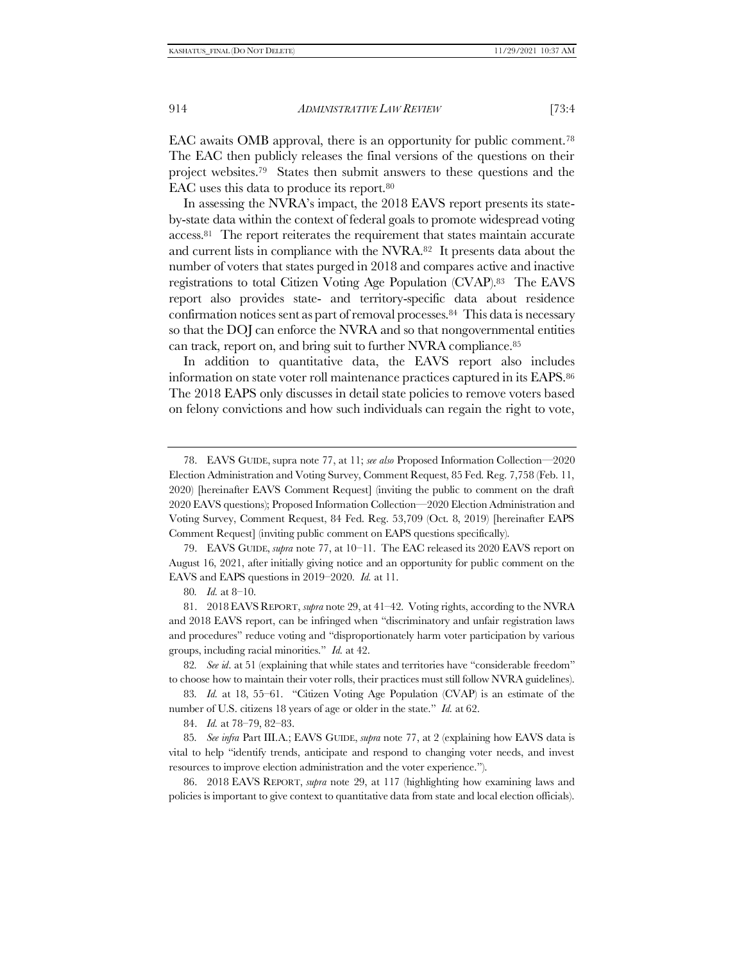EAC awaits OMB approval, there is an opportunity for public comment.<sup>78</sup> The EAC then publicly releases the final versions of the questions on their project websites.79 States then submit answers to these questions and the EAC uses this data to produce its report.<sup>80</sup>

In assessing the NVRA's impact, the 2018 EAVS report presents its stateby-state data within the context of federal goals to promote widespread voting access.81 The report reiterates the requirement that states maintain accurate and current lists in compliance with the NVRA.82 It presents data about the number of voters that states purged in 2018 and compares active and inactive registrations to total Citizen Voting Age Population (CVAP).83 The EAVS report also provides state- and territory-specific data about residence confirmation notices sent as part of removal processes.84 This data is necessary so that the DOJ can enforce the NVRA and so that nongovernmental entities can track, report on, and bring suit to further NVRA compliance.<sup>85</sup>

In addition to quantitative data, the EAVS report also includes information on state voter roll maintenance practices captured in its EAPS.<sup>86</sup> The 2018 EAPS only discusses in detail state policies to remove voters based on felony convictions and how such individuals can regain the right to vote,

79. EAVS GUIDE, *supra* not[e 77,](#page-12-0) at 10–11. The EAC released its 2020 EAVS report on August 16, 2021, after initially giving notice and an opportunity for public comment on the EAVS and EAPS questions in 2019–2020. *Id.* at 11.

81. 2018 EAVS REPORT, *supra* note [29,](#page-5-1) at 41–42. Voting rights, according to the NVRA and 2018 EAVS report, can be infringed when "discriminatory and unfair registration laws and procedures" reduce voting and "disproportionately harm voter participation by various groups, including racial minorities." *Id.* at 42.

82*. See id*. at 51 (explaining that while states and territories have "considerable freedom" to choose how to maintain their voter rolls, their practices must still follow NVRA guidelines).

83*. Id.* at 18, 55–61. "Citizen Voting Age Population (CVAP) is an estimate of the number of U.S. citizens 18 years of age or older in the state." *Id.* at 62.

84. *Id.* at 78–79, 82–83.

85*. See infra* Part III[.A.](#page-24-0); EAVS GUIDE, *supra* note [77,](#page-12-0) at 2 (explaining how EAVS data is vital to help "identify trends, anticipate and respond to changing voter needs, and invest resources to improve election administration and the voter experience.").

86. 2018 EAVS REPORT, *supra* note [29,](#page-5-1) at 117 (highlighting how examining laws and policies is important to give context to quantitative data from state and local election officials).

<sup>78.</sup> EAVS GUIDE, supra note [77,](#page-12-0) at 11; *see also* Proposed Information Collection—2020 Election Administration and Voting Survey, Comment Request, 85 Fed. Reg. 7,758 (Feb. 11, 2020) [hereinafter EAVS Comment Request] (inviting the public to comment on the draft 2020 EAVS questions); Proposed Information Collection—2020 Election Administration and Voting Survey, Comment Request, 84 Fed. Reg. 53,709 (Oct. 8, 2019) [hereinafter EAPS Comment Request] (inviting public comment on EAPS questions specifically).

<sup>80</sup>*. Id.* at 8–10.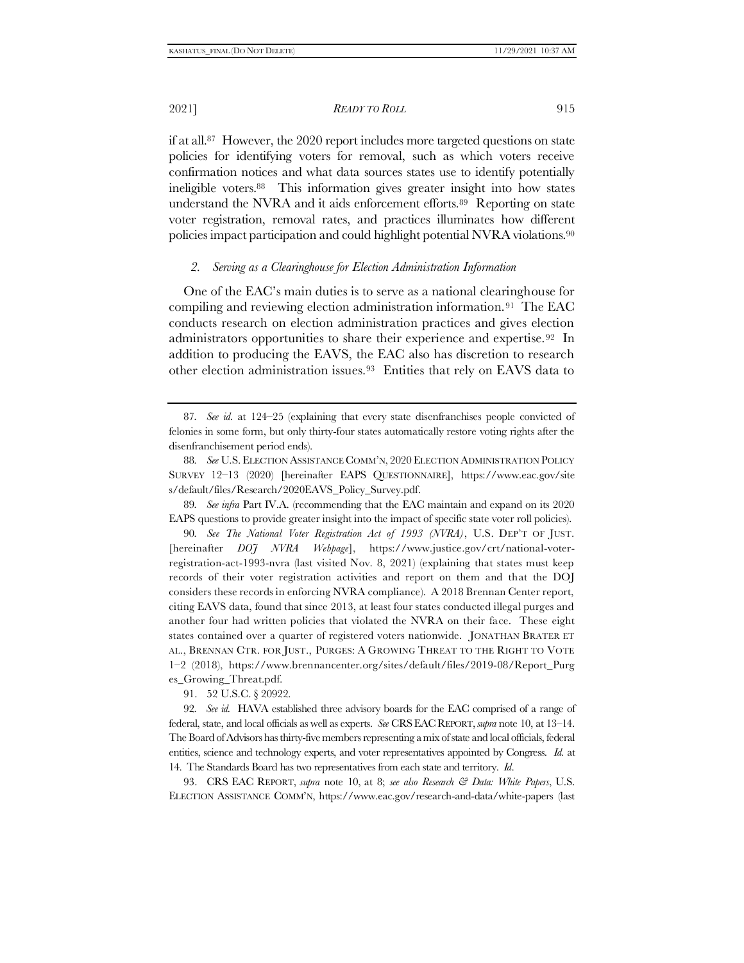<span id="page-14-2"></span><span id="page-14-1"></span>if at all.87 However, the 2020 report includes more targeted questions on state policies for identifying voters for removal, such as which voters receive confirmation notices and what data sources states use to identify potentially ineligible voters.88 This information gives greater insight into how states understand the NVRA and it aids enforcement efforts.89 Reporting on state voter registration, removal rates, and practices illuminates how different policies impact participation and could highlight potential NVRA violations.<sup>90</sup>

#### <span id="page-14-3"></span><span id="page-14-0"></span>*2. Serving as a Clearinghouse for Election Administration Information*

One of the EAC's main duties is to serve as a national clearinghouse for compiling and reviewing election administration information.91 The EAC conducts research on election administration practices and gives election administrators opportunities to share their experience and expertise.92 In addition to producing the EAVS, the EAC also has discretion to research other election administration issues.93 Entities that rely on EAVS data to

89*. See infra* Part I[V.A.](#page-27-0) (recommending that the EAC maintain and expand on its 2020 EAPS questions to provide greater insight into the impact of specific state voter roll policies).

90*. See The National Voter Registration Act of 1993 (NVRA)*, U.S. DEP'T OF JUST. [hereinafter *DOJ NVRA Webpage*], https://www.justice.gov/crt/national-voterregistration-act-1993-nvra (last visited Nov. 8, 2021) (explaining that states must keep records of their voter registration activities and report on them and that the DOJ considers these records in enforcing NVRA compliance). A 2018 Brennan Center report, citing EAVS data, found that since 2013, at least four states conducted illegal purges and another four had written policies that violated the NVRA on their face. These eight states contained over a quarter of registered voters nationwide. JONATHAN BRATER ET AL., BRENNAN CTR. FOR JUST., PURGES: A GROWING THREAT TO THE RIGHT TO VOTE 1–2 (2018), https://www.brennancenter.org/sites/default/files/2019-08/Report\_Purg es\_Growing\_Threat.pdf.

91. 52 U.S.C. § 20922.

92*. See id.* HAVA established three advisory boards for the EAC comprised of a range of federal, state, and local officials as well as experts. *See* CRSEACREPORT,*supra* not[e 10,](#page-3-0) at 13–14. The Board of Advisors has thirty-five members representing a mix of state and local officials, federal entities, science and technology experts, and voter representatives appointed by Congress. *Id.* at 14. The Standards Board has two representatives from each state and territory. *Id*.

93. CRS EAC REPORT, *supra* note [10,](#page-3-0) at 8; *see also Research & Data: White Papers*, U.S. ELECTION ASSISTANCE COMM'N, https://www.eac.gov/research-and-data/white-papers (last

<sup>87</sup>*. See id*. at 124–25 (explaining that every state disenfranchises people convicted of felonies in some form, but only thirty-four states automatically restore voting rights after the disenfranchisement period ends).

<sup>88</sup>*. See* U.S. ELECTION ASSISTANCE COMM'N, 2020 ELECTION ADMINISTRATION POLICY SURVEY 12–13 (2020) [hereinafter EAPS QUESTIONNAIRE], https://www.eac.gov/site s/default/files/Research/2020EAVS\_Policy\_Survey.pdf.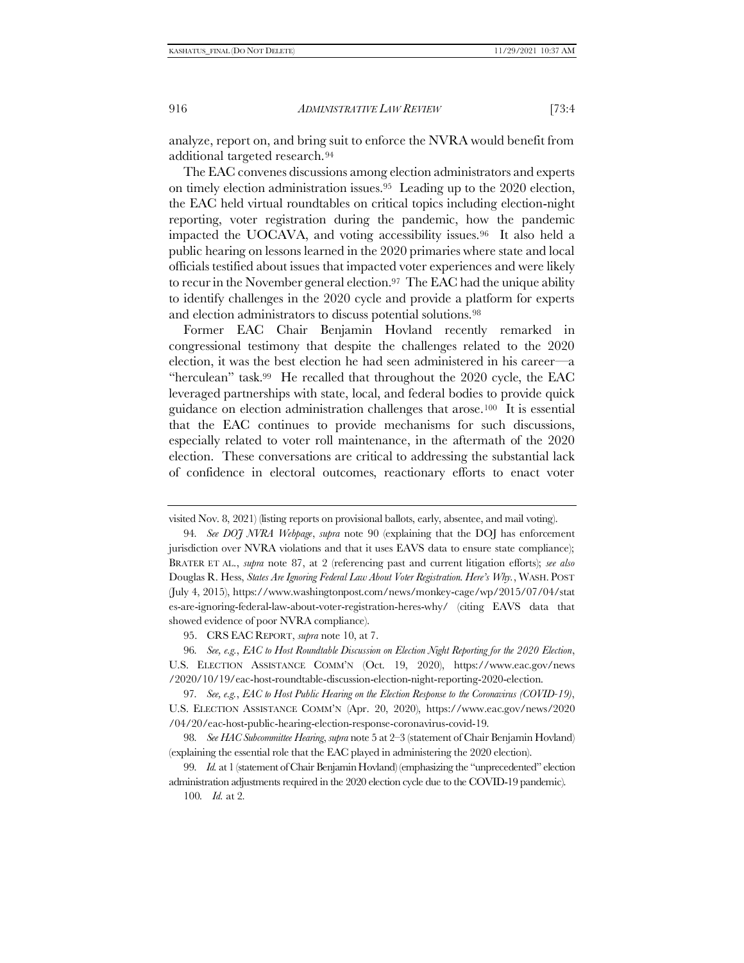analyze, report on, and bring suit to enforce the NVRA would benefit from additional targeted research.<sup>94</sup>

The EAC convenes discussions among election administrators and experts on timely election administration issues.95 Leading up to the 2020 election, the EAC held virtual roundtables on critical topics including election-night reporting, voter registration during the pandemic, how the pandemic impacted the UOCAVA, and voting accessibility issues.96 It also held a public hearing on lessons learned in the 2020 primaries where state and local officials testified about issues that impacted voter experiences and were likely to recur in the November general election.<sup>97</sup> The EAC had the unique ability to identify challenges in the 2020 cycle and provide a platform for experts and election administrators to discuss potential solutions.<sup>98</sup>

Former EAC Chair Benjamin Hovland recently remarked in congressional testimony that despite the challenges related to the 2020 election, it was the best election he had seen administered in his career—a "herculean" task.99 He recalled that throughout the 2020 cycle, the EAC leveraged partnerships with state, local, and federal bodies to provide quick guidance on election administration challenges that arose.100 It is essential that the EAC continues to provide mechanisms for such discussions, especially related to voter roll maintenance, in the aftermath of the 2020 election. These conversations are critical to addressing the substantial lack of confidence in electoral outcomes, reactionary efforts to enact voter

100*. Id.* at 2*.* 

visited Nov. 8, 2021) (listing reports on provisional ballots, early, absentee, and mail voting).

<sup>94</sup>*. See DOJ NVRA Webpage*, *supra* note [90](#page-14-0) (explaining that the DOJ has enforcement jurisdiction over NVRA violations and that it uses EAVS data to ensure state compliance); BRATER ET AL., *supra* note [87,](#page-14-1) at 2 (referencing past and current litigation efforts); *see also*  Douglas R. Hess, *States Are Ignoring Federal Law About Voter Registration. Here's Why.*, WASH. POST (July 4, 2015), https://www.washingtonpost.com/news/monkey-cage/wp/2015/07/04/stat es-are-ignoring-federal-law-about-voter-registration-heres-why/ (citing EAVS data that showed evidence of poor NVRA compliance).

<sup>95.</sup> CRS EAC REPORT, *supra* note [10,](#page-3-0) at 7.

<sup>96</sup>*. See, e.g.*, *EAC to Host Roundtable Discussion on Election Night Reporting for the 2020 Election*, U.S. ELECTION ASSISTANCE COMM'N (Oct. 19, 2020), https://www.eac.gov/news /2020/10/19/eac-host-roundtable-discussion-election-night-reporting-2020-election.

<sup>97</sup>*. See, e.g.*, *EAC to Host Public Hearing on the Election Response to the Coronavirus (COVID-19)*, U.S. ELECTION ASSISTANCE COMM'N (Apr. 20, 2020), https://www.eac.gov/news/2020 /04/20/eac-host-public-hearing-election-response-coronavirus-covid-19.

<sup>98</sup>*. See HAC Subcommittee Hearing*, *supra* not[e 5](#page-2-0) at 2–3 (statement of Chair Benjamin Hovland) (explaining the essential role that the EAC played in administering the 2020 election).

<sup>99</sup>*. Id.* at 1 (statement of Chair Benjamin Hovland) (emphasizing the "unprecedented" election administration adjustments required in the 2020 election cycle due to the COVID-19 pandemic).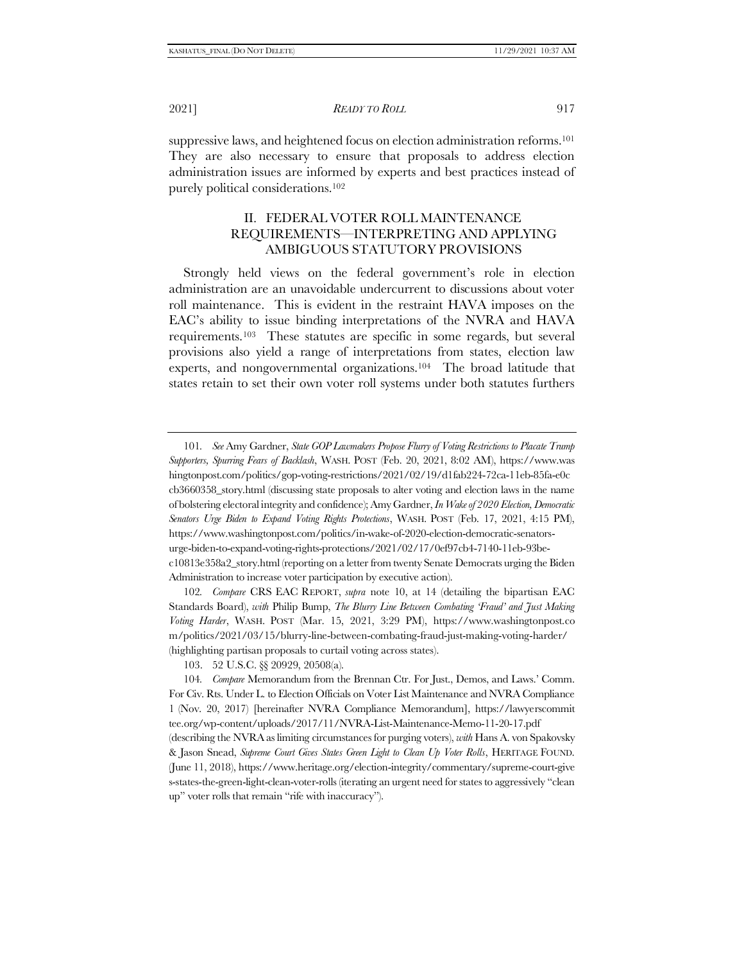suppressive laws, and heightened focus on election administration reforms.<sup>101</sup> They are also necessary to ensure that proposals to address election administration issues are informed by experts and best practices instead of purely political considerations.<sup>102</sup>

# <span id="page-16-1"></span><span id="page-16-0"></span>II. FEDERAL VOTER ROLL MAINTENANCE REQUIREMENTS—INTERPRETING AND APPLYING AMBIGUOUS STATUTORY PROVISIONS

Strongly held views on the federal government's role in election administration are an unavoidable undercurrent to discussions about voter roll maintenance. This is evident in the restraint HAVA imposes on the EAC's ability to issue binding interpretations of the NVRA and HAVA requirements.103 These statutes are specific in some regards, but several provisions also yield a range of interpretations from states, election law experts, and nongovernmental organizations.104 The broad latitude that states retain to set their own voter roll systems under both statutes furthers

102*. Compare* CRS EAC REPORT, *supra* note [10,](#page-3-0) at 14 (detailing the bipartisan EAC Standards Board), *with* Philip Bump, *The Blurry Line Between Combating 'Fraud' and Just Making Voting Harder*, WASH. POST (Mar. 15, 2021, 3:29 PM), https://www.washingtonpost.co m/politics/2021/03/15/blurry-line-between-combating-fraud-just-making-voting-harder/ (highlighting partisan proposals to curtail voting across states).

<sup>101</sup>*. See* Amy Gardner, *State GOP Lawmakers Propose Flurry of Voting Restrictions to Placate Trump Supporters, Spurring Fears of Backlash*, WASH. POST (Feb. 20, 2021, 8:02 AM), https://www.was hingtonpost.com/politics/gop-voting-restrictions/2021/02/19/d1fab224-72ca-11eb-85fa-e0c cb3660358\_story.html (discussing state proposals to alter voting and election laws in the name of bolstering electoral integrity and confidence); Amy Gardner, *In Wake of 2020 Election, Democratic Senators Urge Biden to Expand Voting Rights Protections*, WASH. POST (Feb. 17, 2021, 4:15 PM), https://www.washingtonpost.com/politics/in-wake-of-2020-election-democratic-senatorsurge-biden-to-expand-voting-rights-protections/2021/02/17/0ef97cb4-7140-11eb-93bec10813e358a2\_story.html (reporting on a letter from twenty Senate Democrats urging the Biden Administration to increase voter participation by executive action).

<sup>103.</sup> 52 U.S.C. §§ 20929, 20508(a).

<sup>104</sup>*. Compare* Memorandum from the Brennan Ctr. For Just., Demos, and Laws.' Comm. For Civ. Rts. Under L. to Election Officials on Voter List Maintenance and NVRA Compliance 1 (Nov. 20, 2017) [hereinafter NVRA Compliance Memorandum], https://lawyerscommit tee.org/wp-content/uploads/2017/11/NVRA-List-Maintenance-Memo-11-20-17.pdf (describing the NVRA as limiting circumstances for purging voters), *with* Hans A. von Spakovsky & Jason Snead, *Supreme Court Gives States Green Light to Clean Up Voter Rolls*, HERITAGE FOUND. (June 11, 2018), https://www.heritage.org/election-integrity/commentary/supreme-court-give s-states-the-green-light-clean-voter-rolls (iterating an urgent need for states to aggressively "clean up" voter rolls that remain "rife with inaccuracy").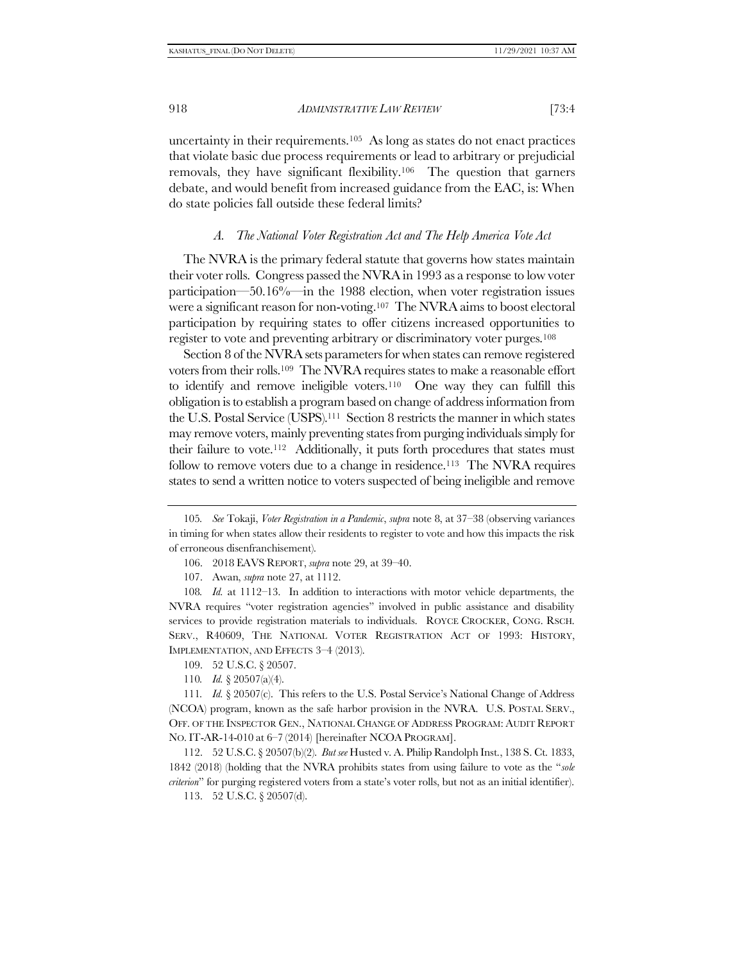uncertainty in their requirements.105 As long as states do not enact practices that violate basic due process requirements or lead to arbitrary or prejudicial removals, they have significant flexibility.106 The question that garners debate, and would benefit from increased guidance from the EAC, is: When do state policies fall outside these federal limits?

#### *A. The National Voter Registration Act and The Help America Vote Act*

The NVRA is the primary federal statute that governs how states maintain their voter rolls. Congress passed the NVRA in 1993 as a response to low voter participation—50.16%—in the 1988 election, when voter registration issues were a significant reason for non-voting.107 The NVRA aims to boost electoral participation by requiring states to offer citizens increased opportunities to register to vote and preventing arbitrary or discriminatory voter purges.<sup>108</sup>

<span id="page-17-0"></span>Section 8 of the NVRA sets parameters for when states can remove registered voters from their rolls.109 The NVRA requires states to make a reasonable effort to identify and remove ineligible voters.110 One way they can fulfill this obligation is to establish a program based on change of address information from the U.S. Postal Service (USPS).111 Section 8 restricts the manner in which states may remove voters, mainly preventing states from purging individuals simply for their failure to vote.112 Additionally, it puts forth procedures that states must follow to remove voters due to a change in residence.<sup>113</sup> The NVRA requires states to send a written notice to voters suspected of being ineligible and remove

112. 52 U.S.C. § 20507(b)(2). *But see* Husted v. A. Philip Randolph Inst., 138 S. Ct. 1833, 1842 (2018) (holding that the NVRA prohibits states from using failure to vote as the "*sole criterion*" for purging registered voters from a state's voter rolls, but not as an initial identifier).

113. 52 U.S.C. § 20507(d).

<sup>105</sup>*. See* Tokaji, *Voter Registration in a Pandemic*, *supra* note [8,](#page-2-1) at 37–38 (observing variances in timing for when states allow their residents to register to vote and how this impacts the risk of erroneous disenfranchisement).

<sup>106.</sup> 2018 EAVS REPORT, *supra* note [29,](#page-5-1) at 39–40.

<sup>107.</sup> Awan, *supra* note [27,](#page-5-0) at 1112.

<sup>108</sup>*. Id.* at 1112–13. In addition to interactions with motor vehicle departments, the NVRA requires "voter registration agencies" involved in public assistance and disability services to provide registration materials to individuals. ROYCE CROCKER, CONG. RSCH. SERV., R40609, THE NATIONAL VOTER REGISTRATION ACT OF 1993: HISTORY, IMPLEMENTATION, AND EFFECTS 3–4 (2013).

<sup>109.</sup> 52 U.S.C. § 20507.

<sup>110</sup>*. Id.* § 20507(a)(4).

<sup>111</sup>*. Id.* § 20507(c). This refers to the U.S. Postal Service's National Change of Address (NCOA) program, known as the safe harbor provision in the NVRA. U.S. POSTAL SERV., OFF. OF THE INSPECTOR GEN., NATIONAL CHANGE OF ADDRESS PROGRAM: AUDIT REPORT NO. IT-AR-14-010 at 6–7 (2014) [hereinafter NCOA PROGRAM].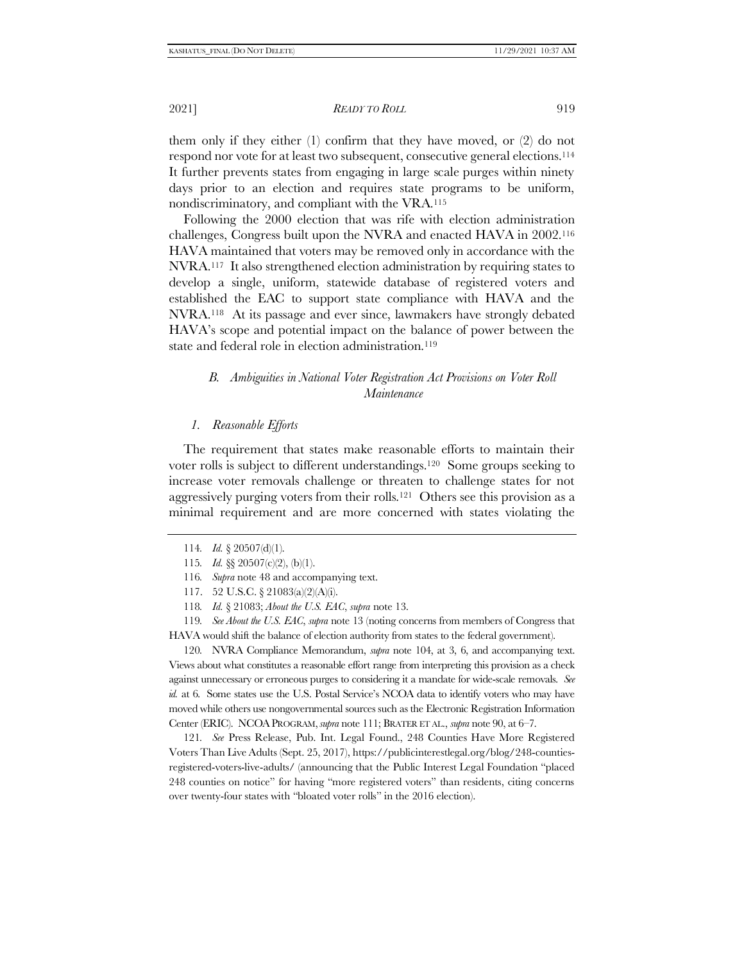them only if they either (1) confirm that they have moved, or (2) do not respond nor vote for at least two subsequent, consecutive general elections.<sup>114</sup> It further prevents states from engaging in large scale purges within ninety days prior to an election and requires state programs to be uniform, nondiscriminatory, and compliant with the VRA.<sup>115</sup>

Following the 2000 election that was rife with election administration challenges, Congress built upon the NVRA and enacted HAVA in 2002.<sup>116</sup> HAVA maintained that voters may be removed only in accordance with the NVRA.117 It also strengthened election administration by requiring states to develop a single, uniform, statewide database of registered voters and established the EAC to support state compliance with HAVA and the NVRA.118 At its passage and ever since, lawmakers have strongly debated HAVA's scope and potential impact on the balance of power between the state and federal role in election administration.<sup>119</sup>

# <span id="page-18-0"></span>*B. Ambiguities in National Voter Registration Act Provisions on Voter Roll Maintenance*

#### *1. Reasonable Efforts*

The requirement that states make reasonable efforts to maintain their voter rolls is subject to different understandings.120 Some groups seeking to increase voter removals challenge or threaten to challenge states for not aggressively purging voters from their rolls.121 Others see this provision as a minimal requirement and are more concerned with states violating the

120*.* NVRA Compliance Memorandum, *supra* note [104,](#page-16-0) at 3, 6, and accompanying text. Views about what constitutes a reasonable effort range from interpreting this provision as a check against unnecessary or erroneous purges to considering it a mandate for wide-scale removals. *See id.* at 6. Some states use the U.S. Postal Service's NCOA data to identify voters who may have moved while others use nongovernmental sources such as the Electronic Registration Information Center (ERIC). NCOAPROGRAM,*supra* not[e 111;](#page-17-0) BRATER ET AL., *supra* not[e 90,](#page-14-0) at 6–7.

121*. See* Press Release, Pub. Int. Legal Found., 248 Counties Have More Registered Voters Than Live Adults (Sept. 25, 2017), https://publicinterestlegal.org/blog/248-countiesregistered-voters-live-adults/ (announcing that the Public Interest Legal Foundation "placed 248 counties on notice" for having "more registered voters" than residents, citing concerns over twenty-four states with "bloated voter rolls" in the 2016 election).

<sup>114</sup>*. Id.* § 20507(d)(1).

<sup>115</sup>*. Id.* §§ 20507(c)(2), (b)(1).

<sup>116</sup>*. Supra* not[e 48](#page-8-0) and accompanying text.

<sup>117.</sup> 52 U.S.C. § 21083(a)(2)(A)(i).

<sup>118</sup>*. Id.* § 21083; *About the U.S. EAC*, *supra* note [13.](#page-3-2)

<sup>119</sup>*. See About the U.S. EAC*, *supra* not[e 13](#page-3-2) (noting concerns from members of Congress that HAVA would shift the balance of election authority from states to the federal government).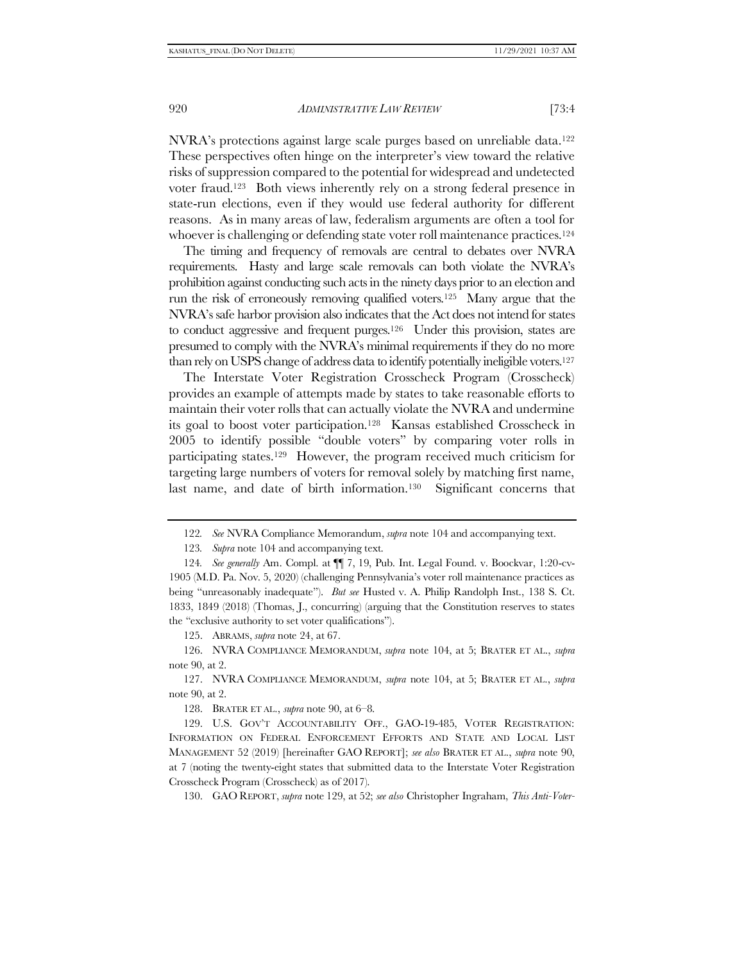NVRA's protections against large scale purges based on unreliable data.<sup>122</sup> These perspectives often hinge on the interpreter's view toward the relative risks of suppression compared to the potential for widespread and undetected voter fraud. <sup>123</sup> Both views inherently rely on a strong federal presence in state-run elections, even if they would use federal authority for different reasons. As in many areas of law, federalism arguments are often a tool for whoever is challenging or defending state voter roll maintenance practices.<sup>124</sup>

The timing and frequency of removals are central to debates over NVRA requirements. Hasty and large scale removals can both violate the NVRA's prohibition against conducting such acts in the ninety days prior to an election and run the risk of erroneously removing qualified voters.125 Many argue that the NVRA's safe harbor provision also indicates that the Act does not intend for states to conduct aggressive and frequent purges.<sup>126</sup> Under this provision, states are presumed to comply with the NVRA's minimal requirements if they do no more than rely on USPS change of address data to identify potentially ineligible voters.<sup>127</sup>

The Interstate Voter Registration Crosscheck Program (Crosscheck) provides an example of attempts made by states to take reasonable efforts to maintain their voter rolls that can actually violate the NVRA and undermine its goal to boost voter participation.128 Kansas established Crosscheck in 2005 to identify possible "double voters" by comparing voter rolls in participating states.129 However, the program received much criticism for targeting large numbers of voters for removal solely by matching first name, last name, and date of birth information.<sup>130</sup> Significant concerns that

123*. Supra* not[e 104](#page-16-0) and accompanying text.

125. ABRAMS, *supra* note [24,](#page-4-0) at 67.

126. NVRA COMPLIANCE MEMORANDUM, *supra* note [104,](#page-16-0) at 5; BRATER ET AL., *supra*  note [90,](#page-14-0) at 2.

127. NVRA COMPLIANCE MEMORANDUM, *supra* note [104,](#page-16-0) at 5; BRATER ET AL., *supra* note [90,](#page-14-0) at 2.

128. BRATER ET AL., *supra* note [90,](#page-14-0) at 6–8.

129. U.S. GOV'T ACCOUNTABILITY OFF., GAO-19-485, VOTER REGISTRATION: INFORMATION ON FEDERAL ENFORCEMENT EFFORTS AND STATE AND LOCAL LIST MANAGEMENT 52 (2019) [hereinafter GAO REPORT]; *see also* BRATER ET AL., *supra* note [90,](#page-14-0) at 7 (noting the twenty-eight states that submitted data to the Interstate Voter Registration Crosscheck Program (Crosscheck) as of 2017).

130. GAO REPORT, *supra* note [129,](#page-19-0) at 52; *see also* Christopher Ingraham, *This Anti-Voter-*

<span id="page-19-0"></span><sup>122</sup>*. See* NVRA Compliance Memorandum, *supra* not[e 104](#page-16-0) and accompanying text.

<sup>124</sup>*. See generally* Am. Compl. at ¶¶ 7, 19, Pub. Int. Legal Found. v. Boockvar, 1:20-cv-1905 (M.D. Pa. Nov. 5, 2020) (challenging Pennsylvania's voter roll maintenance practices as being "unreasonably inadequate"). *But see* Husted v. A. Philip Randolph Inst., 138 S. Ct. 1833, 1849 (2018) (Thomas, J., concurring) (arguing that the Constitution reserves to states the "exclusive authority to set voter qualifications").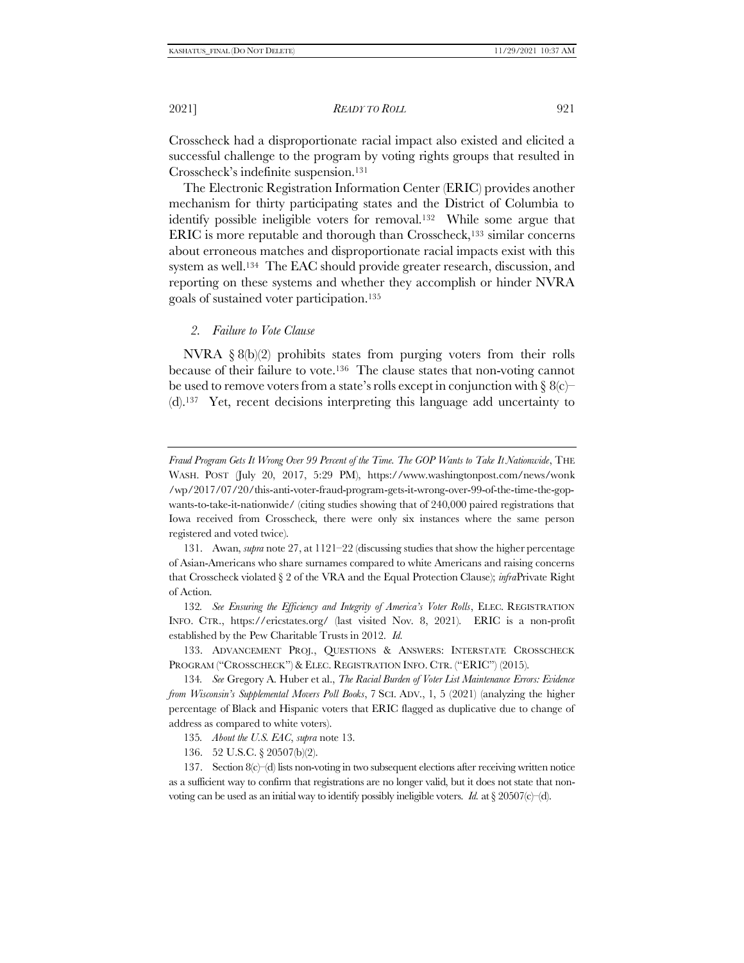Crosscheck had a disproportionate racial impact also existed and elicited a successful challenge to the program by voting rights groups that resulted in Crosscheck's indefinite suspension.<sup>131</sup>

<span id="page-20-1"></span>The Electronic Registration Information Center (ERIC) provides another mechanism for thirty participating states and the District of Columbia to identify possible ineligible voters for removal.132 While some argue that ERIC is more reputable and thorough than Crosscheck,<sup>133</sup> similar concerns about erroneous matches and disproportionate racial impacts exist with this system as well.<sup>134</sup> The EAC should provide greater research, discussion, and reporting on these systems and whether they accomplish or hinder NVRA goals of sustained voter participation.<sup>135</sup>

#### <span id="page-20-2"></span><span id="page-20-0"></span>*2. Failure to Vote Clause*

NVRA  $\S 8(b)(2)$  prohibits states from purging voters from their rolls because of their failure to vote.136 The clause states that non-voting cannot be used to remove voters from a state's rolls except in conjunction with  $\S 8(c)$ (d).137 Yet, recent decisions interpreting this language add uncertainty to

- 135*. About the U.S. EAC*, *supra* note [13.](#page-3-2)
- 136. 52 U.S.C. § 20507(b)(2).

*Fraud Program Gets It Wrong Over 99 Percent of the Time. The GOP Wants to Take It Nationwide*, THE WASH. POST (July 20, 2017, 5:29 PM), https://www.washingtonpost.com/news/wonk /wp/2017/07/20/this-anti-voter-fraud-program-gets-it-wrong-over-99-of-the-time-the-gopwants-to-take-it-nationwide/ (citing studies showing that of 240,000 paired registrations that Iowa received from Crosscheck, there were only six instances where the same person registered and voted twice).

<sup>131.</sup> Awan, *supra* note [27,](#page-5-0) at 1121–22 (discussing studies that show the higher percentage of Asian-Americans who share surnames compared to white Americans and raising concerns that Crosscheck violated § 2 of the VRA and the Equal Protection Clause); *infra*[Private Right](#page-25-0)  [of Action.](#page-25-0)

<sup>132</sup>*. See Ensuring the Efficiency and Integrity of America's Voter Rolls*, ELEC. REGISTRATION INFO. CTR., https://ericstates.org/ (last visited Nov. 8, 2021). ERIC is a non-profit established by the Pew Charitable Trusts in 2012. *Id.*

<sup>133.</sup> ADVANCEMENT PROJ., QUESTIONS & ANSWERS: INTERSTATE CROSSCHECK PROGRAM ("CROSSCHECK") & ELEC. REGISTRATION INFO. CTR. ("ERIC") (2015).

<sup>134</sup>*. See* Gregory A. Huber et al., *The Racial Burden of Voter List Maintenance Errors: Evidence from Wisconsin's Supplemental Movers Poll Books*, 7 SCI. ADV., 1, 5 (2021) (analyzing the higher percentage of Black and Hispanic voters that ERIC flagged as duplicative due to change of address as compared to white voters).

<sup>137.</sup> Section  $8(c)$  d) lists non-voting in two subsequent elections after receiving written notice as a sufficient way to confirm that registrations are no longer valid, but it does not state that nonvoting can be used as an initial way to identify possibly ineligible voters. *Id.* at § 20507(c)–(d).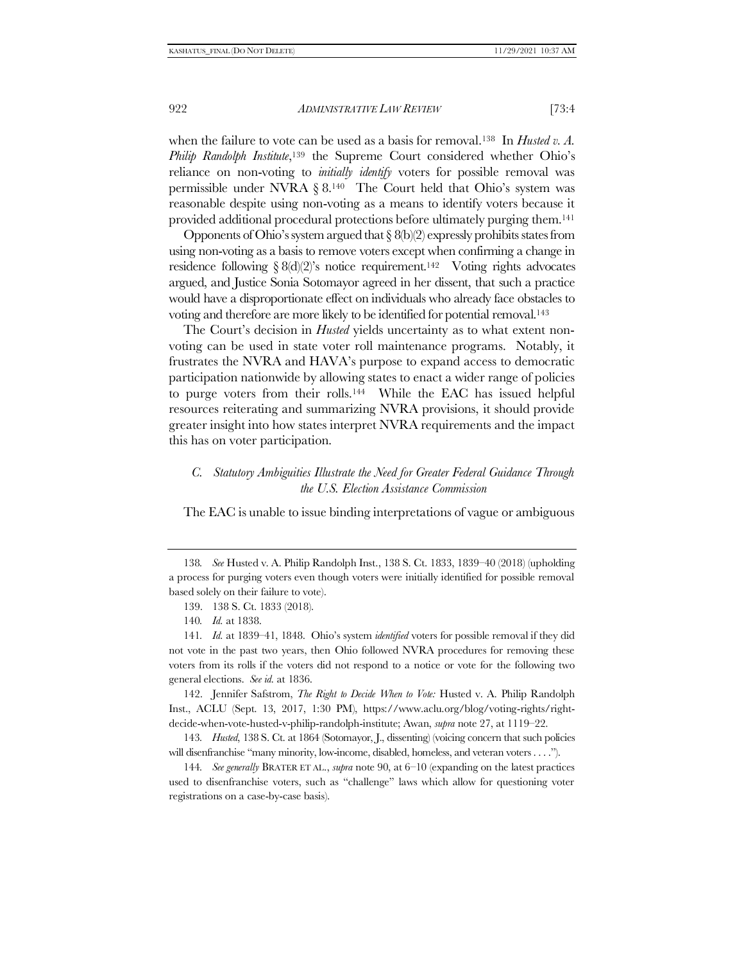when the failure to vote can be used as a basis for removal.<sup>138</sup> In *Husted v. A. Philip Randolph Institute*, <sup>139</sup> the Supreme Court considered whether Ohio's reliance on non-voting to *initially identify* voters for possible removal was permissible under NVRA § 8.<sup>140</sup> The Court held that Ohio's system was reasonable despite using non-voting as a means to identify voters because it provided additional procedural protections before ultimately purging them.<sup>141</sup>

Opponents of Ohio's system argued that  $\S$  8(b)(2) expressly prohibits states from using non-voting as a basis to remove voters except when confirming a change in residence following  $\S 8(d)(2)$ 's notice requirement.<sup>142</sup> Voting rights advocates argued, and Justice Sonia Sotomayor agreed in her dissent, that such a practice would have a disproportionate effect on individuals who already face obstacles to voting and therefore are more likely to be identified for potential removal.<sup>143</sup>

The Court's decision in *Husted* yields uncertainty as to what extent nonvoting can be used in state voter roll maintenance programs. Notably, it frustrates the NVRA and HAVA's purpose to expand access to democratic participation nationwide by allowing states to enact a wider range of policies to purge voters from their rolls.<sup>144</sup> While the EAC has issued helpful resources reiterating and summarizing NVRA provisions, it should provide greater insight into how states interpret NVRA requirements and the impact this has on voter participation.

## *C. Statutory Ambiguities Illustrate the Need for Greater Federal Guidance Through the U.S. Election Assistance Commission*

The EAC is unable to issue binding interpretations of vague or ambiguous

142. Jennifer Safstrom, *The Right to Decide When to Vote:* Husted v. A. Philip Randolph Inst., ACLU (Sept. 13, 2017, 1:30 PM), https://www.aclu.org/blog/voting-rights/rightdecide-when-vote-husted-v-philip-randolph-institute; Awan, *supra* note [27,](#page-5-0) at 1119–22.

143*. Husted*, 138 S. Ct. at 1864 (Sotomayor, J., dissenting) (voicing concern that such policies will disenfranchise "many minority, low-income, disabled, homeless, and veteran voters . . . .").

144*. See generally* BRATER ET AL., *supra* note [90,](#page-14-0) at 6–10 (expanding on the latest practices used to disenfranchise voters, such as "challenge" laws which allow for questioning voter registrations on a case-by-case basis).

<sup>138</sup>*. See* Husted v. A. Philip Randolph Inst., 138 S. Ct. 1833, 1839–40 (2018) (upholding a process for purging voters even though voters were initially identified for possible removal based solely on their failure to vote).

<sup>139.</sup> 138 S. Ct. 1833 (2018).

<sup>140</sup>*. Id.* at 1838.

<sup>141</sup>*. Id.* at 1839–41, 1848. Ohio's system *identified* voters for possible removal if they did not vote in the past two years, then Ohio followed NVRA procedures for removing these voters from its rolls if the voters did not respond to a notice or vote for the following two general elections. *See id.* at 1836.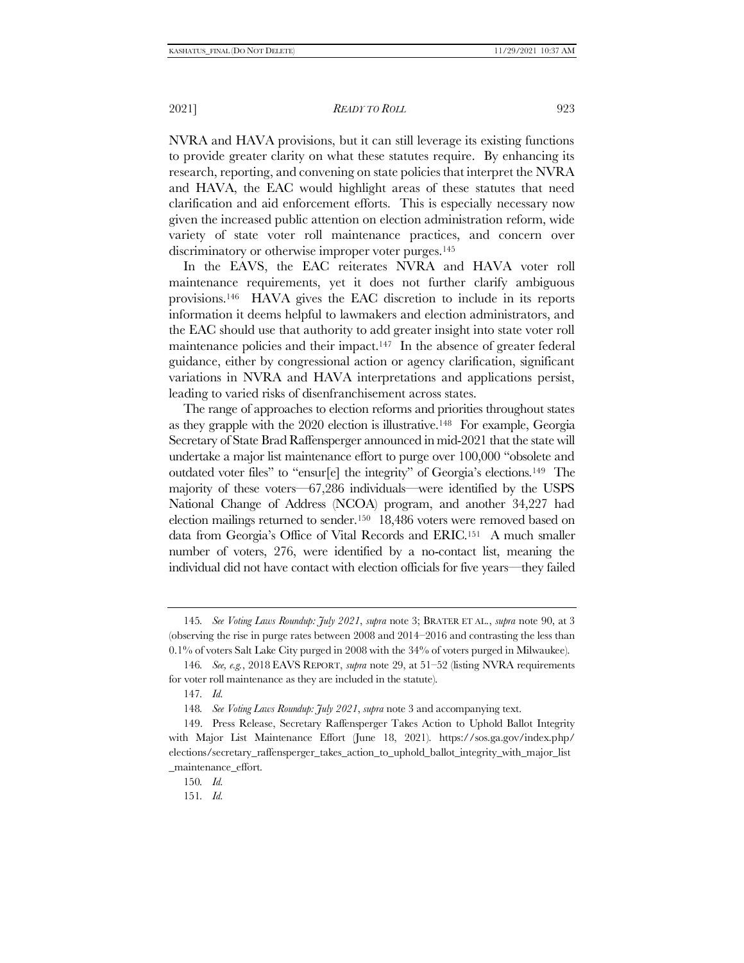NVRA and HAVA provisions, but it can still leverage its existing functions to provide greater clarity on what these statutes require. By enhancing its research, reporting, and convening on state policies that interpret the NVRA and HAVA, the EAC would highlight areas of these statutes that need clarification and aid enforcement efforts. This is especially necessary now given the increased public attention on election administration reform, wide variety of state voter roll maintenance practices, and concern over discriminatory or otherwise improper voter purges.<sup>145</sup>

In the EAVS, the EAC reiterates NVRA and HAVA voter roll maintenance requirements, yet it does not further clarify ambiguous provisions.146 HAVA gives the EAC discretion to include in its reports information it deems helpful to lawmakers and election administrators, and the EAC should use that authority to add greater insight into state voter roll maintenance policies and their impact.147 In the absence of greater federal guidance, either by congressional action or agency clarification, significant variations in NVRA and HAVA interpretations and applications persist, leading to varied risks of disenfranchisement across states.

The range of approaches to election reforms and priorities throughout states as they grapple with the 2020 election is illustrative.148 For example, Georgia Secretary of State Brad Raffensperger announced in mid-2021 that the state will undertake a major list maintenance effort to purge over 100,000 "obsolete and outdated voter files" to "ensur[e] the integrity" of Georgia's elections.149 The majority of these voters—67,286 individuals—were identified by the USPS National Change of Address (NCOA) program, and another 34,227 had election mailings returned to sender.150 18,486 voters were removed based on data from Georgia's Office of Vital Records and ERIC.151 A much smaller number of voters, 276, were identified by a no-contact list, meaning the individual did not have contact with election officials for five years—they failed

<sup>145</sup>*. See Voting Laws Roundup: July 2021*, *supra* note [3;](#page-1-1) BRATER ET AL., *supra* note [90,](#page-14-0) at 3 (observing the rise in purge rates between 2008 and 2014–2016 and contrasting the less than 0.1% of voters Salt Lake City purged in 2008 with the 34% of voters purged in Milwaukee).

<sup>146</sup>*. See, e.g.*, 2018 EAVS REPORT, *supra* note [29,](#page-5-1) at 51–52 (listing NVRA requirements for voter roll maintenance as they are included in the statute).

<sup>147</sup>*. Id.*

<sup>148</sup>*. See Voting Laws Roundup: July 2021*, *supra* note [3](#page-1-1) and accompanying text.

<sup>149.</sup> Press Release, Secretary Raffensperger Takes Action to Uphold Ballot Integrity with Major List Maintenance Effort (June 18, 2021). https://sos.ga.gov/index.php/ elections/secretary\_raffensperger\_takes\_action\_to\_uphold\_ballot\_integrity\_with\_major\_list \_maintenance\_effort.

<sup>150</sup>*. Id.* 

<sup>151</sup>*. Id.*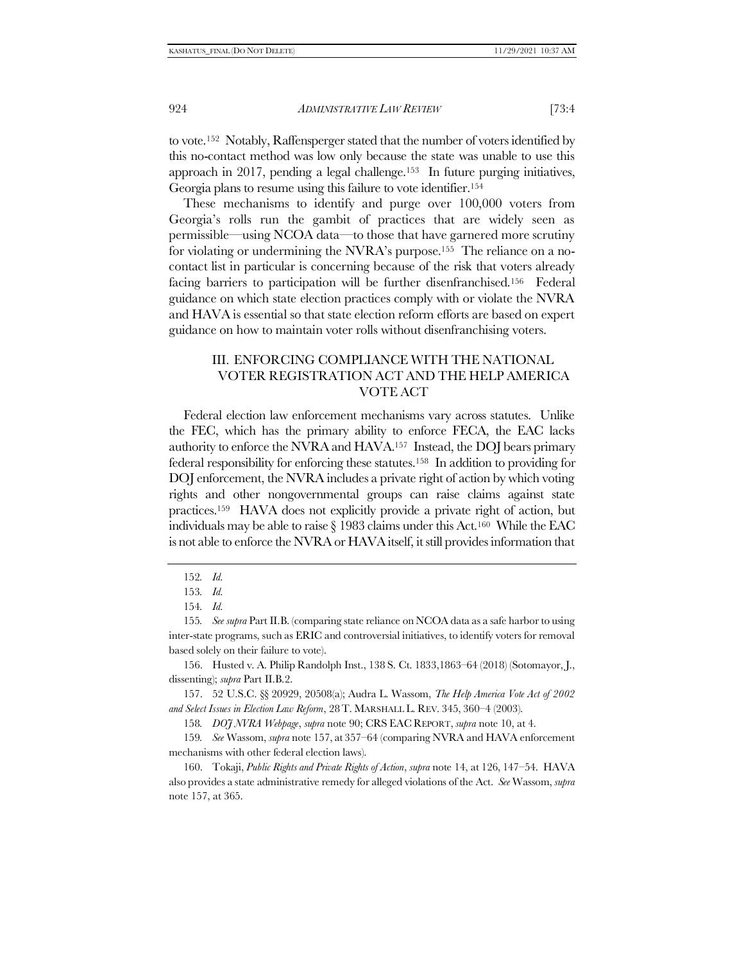to vote.152 Notably, Raffensperger stated that the number of voters identified by this no-contact method was low only because the state was unable to use this approach in 2017, pending a legal challenge.153 In future purging initiatives, Georgia plans to resume using this failure to vote identifier.<sup>154</sup>

These mechanisms to identify and purge over 100,000 voters from Georgia's rolls run the gambit of practices that are widely seen as permissible—using NCOA data—to those that have garnered more scrutiny for violating or undermining the NVRA's purpose.155 The reliance on a nocontact list in particular is concerning because of the risk that voters already facing barriers to participation will be further disenfranchised.156 Federal guidance on which state election practices comply with or violate the NVRA and HAVA is essential so that state election reform efforts are based on expert guidance on how to maintain voter rolls without disenfranchising voters.

# <span id="page-23-0"></span>III. ENFORCING COMPLIANCE WITH THE NATIONAL VOTER REGISTRATION ACT AND THE HELP AMERICA VOTE ACT

Federal election law enforcement mechanisms vary across statutes. Unlike the FEC, which has the primary ability to enforce FECA, the EAC lacks authority to enforce the NVRA and HAVA.157 Instead, the DOJ bears primary federal responsibility for enforcing these statutes.158 In addition to providing for DOJ enforcement, the NVRA includes a private right of action by which voting rights and other nongovernmental groups can raise claims against state practices.159 HAVA does not explicitly provide a private right of action, but individuals may be able to raise  $\S$  1983 claims under this Act.<sup>160</sup> While the EAC is not able to enforce the NVRA or HAVA itself, it still provides information that

155*. See supra* Part I[I.B.](#page-18-0) (comparing state reliance on NCOA data as a safe harbor to using inter-state programs, such as ERIC and controversial initiatives, to identify voters for removal based solely on their failure to vote).

156. Husted v. A. Philip Randolph Inst., 138 S. Ct. 1833,1863–64 (2018) (Sotomayor, J., dissenting); *supra* Part II.[B.2.](#page-20-0)

157. 52 U.S.C. §§ 20929, 20508(a); Audra L. Wassom, *The Help America Vote Act of 2002 and Select Issues in Election Law Reform*, 28T. MARSHALL L. REV. 345, 360–4 (2003).

158*. DOJ NVRA Webpage*, *supra* note [90;](#page-14-0) CRS EAC REPORT, *supra* note [10,](#page-3-0) at 4.

159*. See* Wassom, *supra* note [157,](#page-23-0) at 357–64 (comparing NVRA and HAVA enforcement mechanisms with other federal election laws).

160. Tokaji, *Public Rights and Private Rights of Action*, *supra* not[e 14,](#page-3-3) at 126, 147–54. HAVA also provides a state administrative remedy for alleged violations of the Act. *See* Wassom, *supra*  not[e 157,](#page-23-0) at 365.

<sup>152</sup>*. Id.* 

<sup>153</sup>*. Id.* 

<sup>154</sup>*. Id.*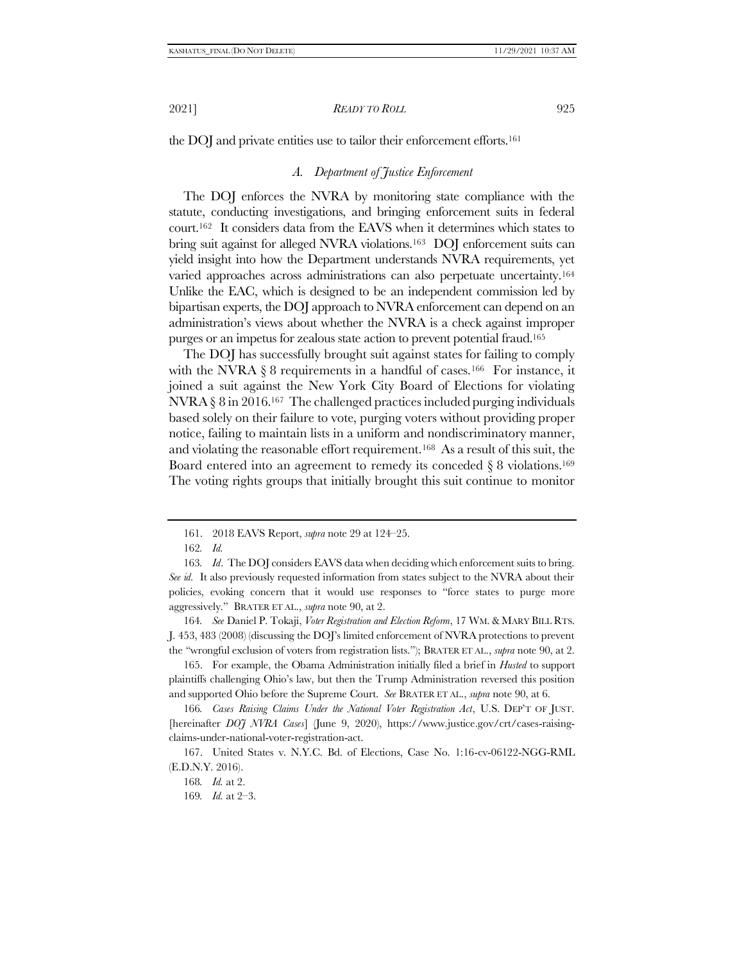<span id="page-24-0"></span>the DOJ and private entities use to tailor their enforcement efforts.<sup>161</sup>

#### *A. Department of Justice Enforcement*

The DOJ enforces the NVRA by monitoring state compliance with the statute, conducting investigations, and bringing enforcement suits in federal court.162 It considers data from the EAVS when it determines which states to bring suit against for alleged NVRA violations.<sup>163</sup> DOJ enforcement suits can yield insight into how the Department understands NVRA requirements, yet varied approaches across administrations can also perpetuate uncertainty.<sup>164</sup> Unlike the EAC, which is designed to be an independent commission led by bipartisan experts, the DOJ approach to NVRA enforcement can depend on an administration's views about whether the NVRA is a check against improper purges or an impetus for zealous state action to prevent potential fraud.<sup>165</sup>

The DOJ has successfully brought suit against states for failing to comply with the NVRA  $\S 8$  requirements in a handful of cases.<sup>166</sup> For instance, it joined a suit against the New York City Board of Elections for violating NVRA § 8 in 2016.167 The challenged practices included purging individuals based solely on their failure to vote, purging voters without providing proper notice, failing to maintain lists in a uniform and nondiscriminatory manner, and violating the reasonable effort requirement.168 As a result of this suit, the Board entered into an agreement to remedy its conceded  $\S 8$  violations.<sup>169</sup> The voting rights groups that initially brought this suit continue to monitor

164*. See* Daniel P. Tokaji, *Voter Registration and Election Reform*, 17 WM. & MARY BILL RTS. J. 453, 483 (2008) (discussing the DOJ's limited enforcement of NVRA protections to prevent the "wrongful exclusion of voters from registration lists."); BRATER ET AL., *supra* note [90,](#page-14-0) at 2.

165. For example, the Obama Administration initially filed a brief in *Husted* to support plaintiffs challenging Ohio's law, but then the Trump Administration reversed this position and supported Ohio before the Supreme Court. *See* BRATER ET AL., *supra* note [90,](#page-14-0) at 6.

166*. Cases Raising Claims Under the National Voter Registration Act*, U.S. DEP'T OF JUST. [hereinafter *DOJ NVRA Cases*] (June 9, 2020), https://www.justice.gov/crt/cases-raisingclaims-under-national-voter-registration-act.

<sup>161.</sup> 2018 EAVS Report, *supra* not[e 29](#page-5-1) at 124–25.

<sup>162</sup>*. Id.*

<sup>163</sup>*. Id*. The DOJ considers EAVS data when deciding which enforcement suits to bring. *See id.* It also previously requested information from states subject to the NVRA about their policies, evoking concern that it would use responses to "force states to purge more aggressively." BRATER ET AL., *supra* note [90,](#page-14-0) at 2.

<sup>167.</sup> United States v. N.Y.C. Bd. of Elections, Case No. 1:16-cv-06122-NGG-RML (E.D.N.Y. 2016).

<sup>168</sup>*. Id.* at 2.

<sup>169</sup>*. Id.* at 2–3.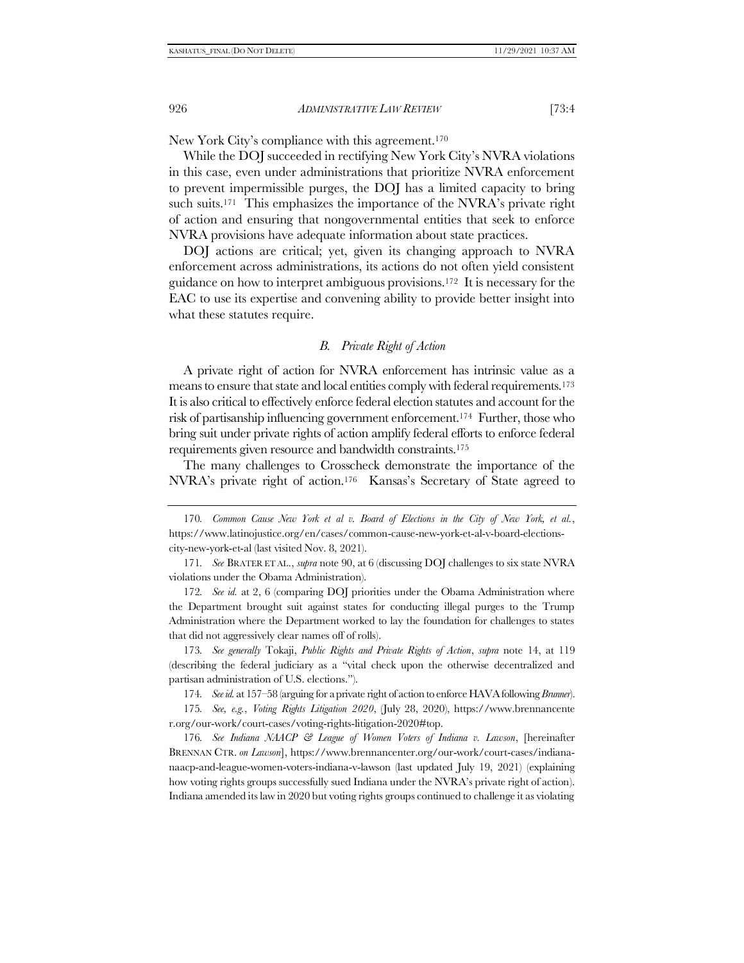New York City's compliance with this agreement.<sup>170</sup>

While the DOJ succeeded in rectifying New York City's NVRA violations in this case, even under administrations that prioritize NVRA enforcement to prevent impermissible purges, the DOJ has a limited capacity to bring such suits.<sup>171</sup> This emphasizes the importance of the NVRA's private right of action and ensuring that nongovernmental entities that seek to enforce NVRA provisions have adequate information about state practices.

DOJ actions are critical; yet, given its changing approach to NVRA enforcement across administrations, its actions do not often yield consistent guidance on how to interpret ambiguous provisions.172 It is necessary for the EAC to use its expertise and convening ability to provide better insight into what these statutes require.

#### <span id="page-25-1"></span>*B. Private Right of Action*

<span id="page-25-0"></span>A private right of action for NVRA enforcement has intrinsic value as a means to ensure that state and local entities comply with federal requirements.<sup>173</sup> It is also critical to effectively enforce federal election statutes and account for the risk of partisanship influencing government enforcement.174 Further, those who bring suit under private rights of action amplify federal efforts to enforce federal requirements given resource and bandwidth constraints.<sup>175</sup>

The many challenges to Crosscheck demonstrate the importance of the NVRA's private right of action.<sup>176</sup> Kansas's Secretary of State agreed to

170*. Common Cause New York et al v. Board of Elections in the City of New York, et al.*, https://www.latinojustice.org/en/cases/common-cause-new-york-et-al-v-board-electionscity-new-york-et-al (last visited Nov. 8, 2021).

172*. See id.* at 2, 6 (comparing DOJ priorities under the Obama Administration where the Department brought suit against states for conducting illegal purges to the Trump Administration where the Department worked to lay the foundation for challenges to states that did not aggressively clear names off of rolls).

173*. See generally* Tokaji, *Public Rights and Private Rights of Action*, *supra* note [14,](#page-3-3) at 119 (describing the federal judiciary as a "vital check upon the otherwise decentralized and partisan administration of U.S. elections.").

174*. See id.* at 157–58 (arguing for a private right of action to enforce HAVA following *Brunner*).

175*. See, e.g.*, *Voting Rights Litigation 2020*, (July 28, 2020), https://www.brennancente r.org/our-work/court-cases/voting-rights-litigation-2020#top.

176*. See Indiana NAACP & League of Women Voters of Indiana v. Lawson*, [hereinafter BRENNAN CTR. *on Lawson*], https://www.brennancenter.org/our-work/court-cases/indiananaacp-and-league-women-voters-indiana-v-lawson (last updated July 19, 2021) (explaining how voting rights groups successfully sued Indiana under the NVRA's private right of action). Indiana amended its law in 2020 but voting rights groups continued to challenge it as violating

<sup>171</sup>*. See* BRATER ET AL., *supra* note [90,](#page-14-0) at 6 (discussing DOJ challenges to six state NVRA violations under the Obama Administration).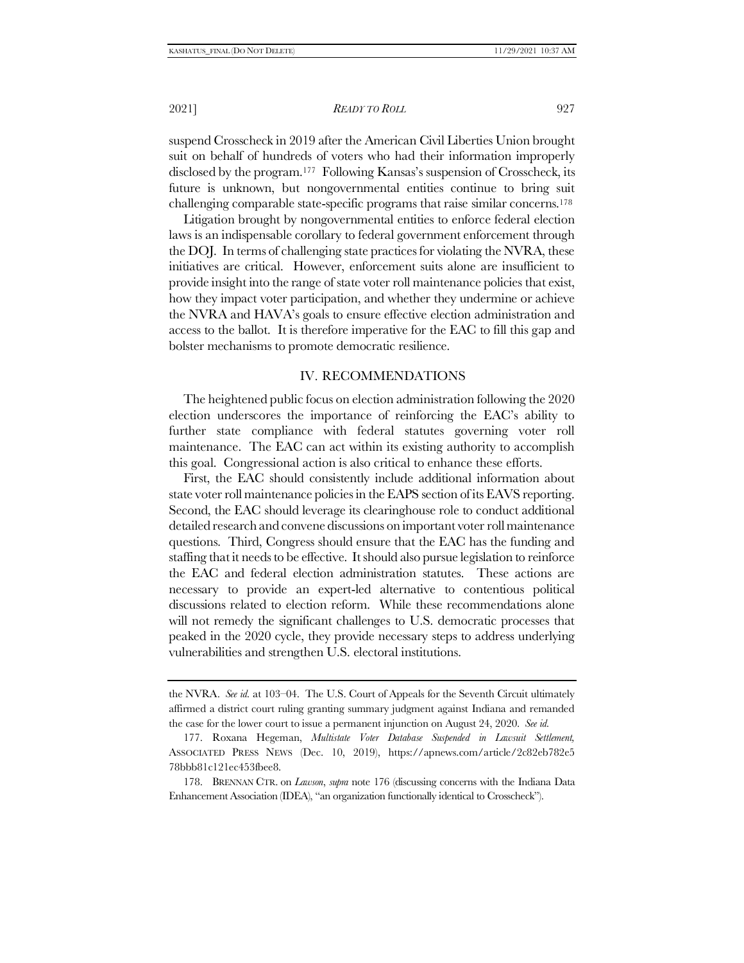2021] *READY TO ROLL* 927

suspend Crosscheck in 2019 after the American Civil Liberties Union brought suit on behalf of hundreds of voters who had their information improperly disclosed by the program.<sup>177</sup> Following Kansas's suspension of Crosscheck, its future is unknown, but nongovernmental entities continue to bring suit challenging comparable state-specific programs that raise similar concerns.<sup>178</sup>

Litigation brought by nongovernmental entities to enforce federal election laws is an indispensable corollary to federal government enforcement through the DOJ. In terms of challenging state practices for violating the NVRA, these initiatives are critical. However, enforcement suits alone are insufficient to provide insight into the range of state voter roll maintenance policies that exist, how they impact voter participation, and whether they undermine or achieve the NVRA and HAVA's goals to ensure effective election administration and access to the ballot. It is therefore imperative for the EAC to fill this gap and bolster mechanisms to promote democratic resilience.

#### IV. RECOMMENDATIONS

The heightened public focus on election administration following the 2020 election underscores the importance of reinforcing the EAC's ability to further state compliance with federal statutes governing voter roll maintenance. The EAC can act within its existing authority to accomplish this goal. Congressional action is also critical to enhance these efforts.

First, the EAC should consistently include additional information about state voter roll maintenance policies in the EAPS section of its EAVS reporting. Second, the EAC should leverage its clearinghouse role to conduct additional detailed research and convene discussions on important voter roll maintenance questions. Third, Congress should ensure that the EAC has the funding and staffing that it needs to be effective. It should also pursue legislation to reinforce the EAC and federal election administration statutes. These actions are necessary to provide an expert-led alternative to contentious political discussions related to election reform. While these recommendations alone will not remedy the significant challenges to U.S. democratic processes that peaked in the 2020 cycle, they provide necessary steps to address underlying vulnerabilities and strengthen U.S. electoral institutions.

the NVRA. *See id.* at 103–04. The U.S. Court of Appeals for the Seventh Circuit ultimately affirmed a district court ruling granting summary judgment against Indiana and remanded the case for the lower court to issue a permanent injunction on August 24, 2020. *See id.*

<sup>177.</sup> Roxana Hegeman, *Multistate Voter Database Suspended in Lawsuit Settlement,*  ASSOCIATED PRESS NEWS (Dec. 10, 2019), https://apnews.com/article/2c82eb782e5 78bbb81c121ec453fbee8.

<sup>178.</sup> BRENNAN CTR. on *Lawson*, *supra* note [176](#page-25-1) (discussing concerns with the Indiana Data Enhancement Association (IDEA), "an organization functionally identical to Crosscheck").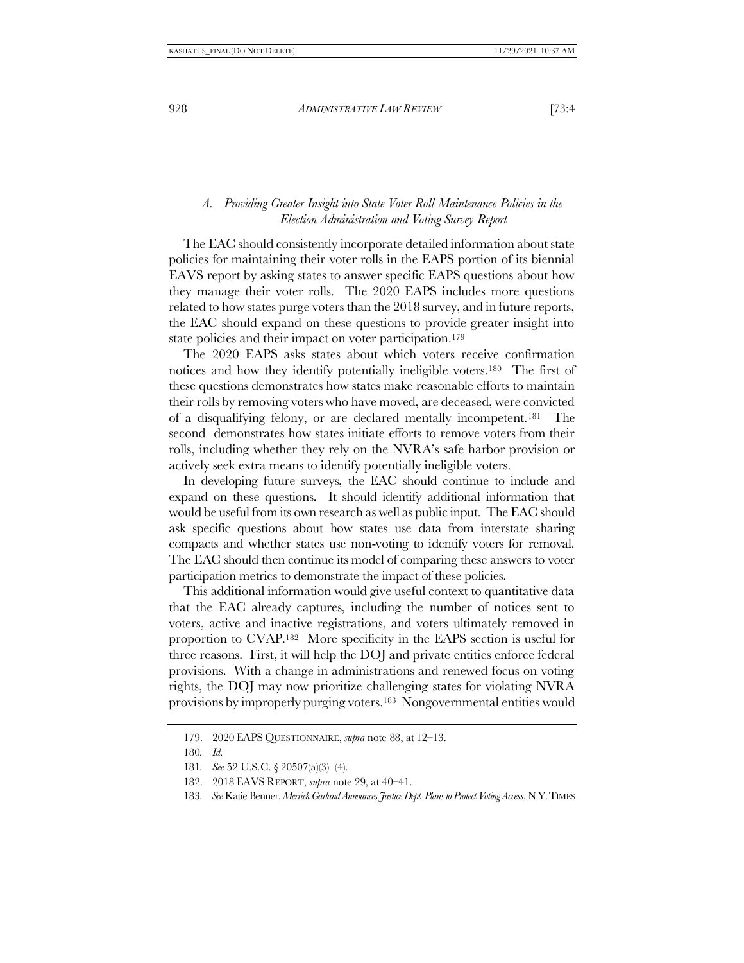## <span id="page-27-0"></span>*A. Providing Greater Insight into State Voter Roll Maintenance Policies in the Election Administration and Voting Survey Report*

The EAC should consistently incorporate detailed information about state policies for maintaining their voter rolls in the EAPS portion of its biennial EAVS report by asking states to answer specific EAPS questions about how they manage their voter rolls. The 2020 EAPS includes more questions related to how states purge voters than the 2018 survey, and in future reports, the EAC should expand on these questions to provide greater insight into state policies and their impact on voter participation.<sup>179</sup>

The 2020 EAPS asks states about which voters receive confirmation notices and how they identify potentially ineligible voters.180 The first of these questions demonstrates how states make reasonable efforts to maintain their rolls by removing voters who have moved, are deceased, were convicted of a disqualifying felony, or are declared mentally incompetent.181 The second demonstrates how states initiate efforts to remove voters from their rolls, including whether they rely on the NVRA's safe harbor provision or actively seek extra means to identify potentially ineligible voters.

In developing future surveys, the EAC should continue to include and expand on these questions. It should identify additional information that would be useful from its own research as well as public input. The EAC should ask specific questions about how states use data from interstate sharing compacts and whether states use non-voting to identify voters for removal. The EAC should then continue its model of comparing these answers to voter participation metrics to demonstrate the impact of these policies.

This additional information would give useful context to quantitative data that the EAC already captures, including the number of notices sent to voters, active and inactive registrations, and voters ultimately removed in proportion to CVAP.182 More specificity in the EAPS section is useful for three reasons. First, it will help the DOJ and private entities enforce federal provisions. With a change in administrations and renewed focus on voting rights, the DOJ may now prioritize challenging states for violating NVRA provisions by improperly purging voters.183 Nongovernmental entities would

<sup>179.</sup> 2020 EAPS QUESTIONNAIRE, *supra* note [88,](#page-14-2) at 12–13.

<sup>180</sup>*. Id.*

<sup>181</sup>*. See* 52 U.S.C. § 20507(a)(3)–(4).

<sup>182.</sup> 2018 EAVS REPORT, *supra* note [29,](#page-5-1) at 40–41.

<sup>183</sup>*. See* Katie Benner, *Merrick Garland Announces Justice Dept. Plans to Protect Voting Access*, N.Y.TIMES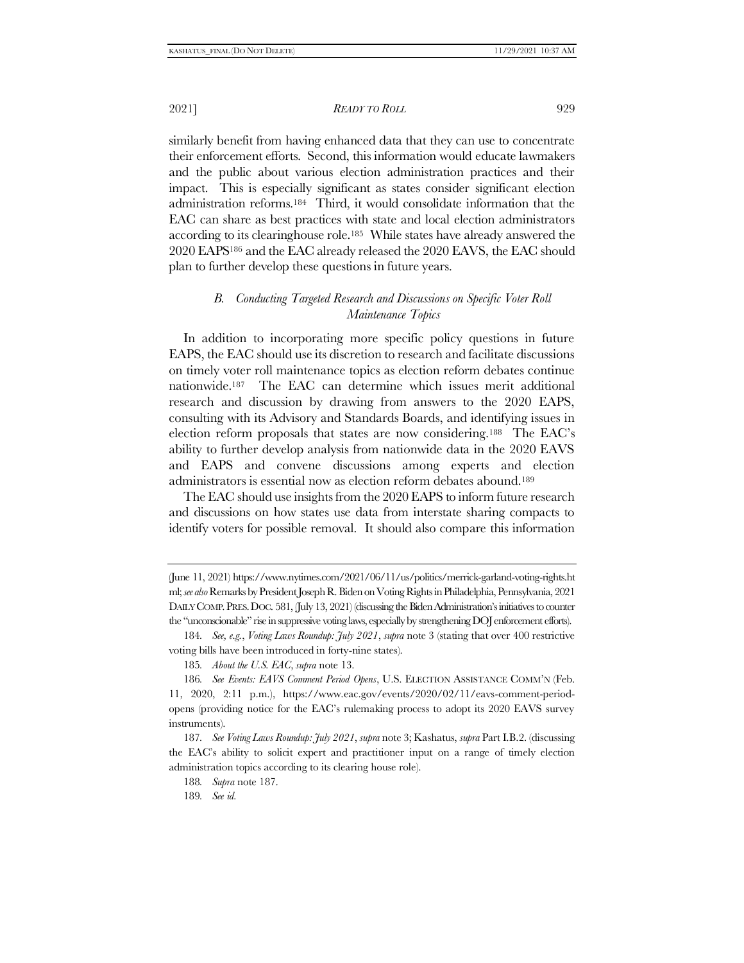2021] *READY TO ROLL* 929

similarly benefit from having enhanced data that they can use to concentrate their enforcement efforts. Second, this information would educate lawmakers and the public about various election administration practices and their impact. This is especially significant as states consider significant election administration reforms.184 Third, it would consolidate information that the EAC can share as best practices with state and local election administrators according to its clearinghouse role.185 While states have already answered the 2020 EAPS<sup>186</sup> and the EAC already released the 2020 EAVS, the EAC should plan to further develop these questions in future years.

## <span id="page-28-0"></span>*B. Conducting Targeted Research and Discussions on Specific Voter Roll Maintenance Topics*

<span id="page-28-1"></span>In addition to incorporating more specific policy questions in future EAPS, the EAC should use its discretion to research and facilitate discussions on timely voter roll maintenance topics as election reform debates continue nationwide.187 The EAC can determine which issues merit additional research and discussion by drawing from answers to the 2020 EAPS, consulting with its Advisory and Standards Boards, and identifying issues in election reform proposals that states are now considering.188 The EAC's ability to further develop analysis from nationwide data in the 2020 EAVS and EAPS and convene discussions among experts and election administrators is essential now as election reform debates abound.<sup>189</sup>

The EAC should use insights from the 2020 EAPS to inform future research and discussions on how states use data from interstate sharing compacts to identify voters for possible removal. It should also compare this information

189*. See id.*

<sup>(</sup>June 11, 2021) https://www.nytimes.com/2021/06/11/us/politics/merrick-garland-voting-rights.ht ml; *see also*Remarks by President Joseph R. Biden on Voting Rights in Philadelphia, Pennsylvania, 2021 DAILY COMP. PRES. DOC. 581, (July 13, 2021) (discussing the Biden Administration's initiatives to counter the "unconscionable" rise in suppressive voting laws, especially by strengthening DOJ enforcement efforts).

<sup>184</sup>*. See, e.g.*, *Voting Laws Roundup: July 2021*, *supra* not[e 3](#page-1-1) (stating that over 400 restrictive voting bills have been introduced in forty-nine states).

<sup>185</sup>*. About the U.S. EAC*, *supra* note [13.](#page-3-2)

<sup>186</sup>*. See Events: EAVS Comment Period Opens*, U.S. ELECTION ASSISTANCE COMM'N (Feb. 11, 2020, 2:11 p.m.), https://www.eac.gov/events/2020/02/11/eavs-comment-periodopens (providing notice for the EAC's rulemaking process to adopt its 2020 EAVS survey instruments).

<sup>187</sup>*. See Voting Laws Roundup: July 2021*, *supra* not[e 3;](#page-1-1) Kashatus, *supra* Part I.[B.2.](#page-14-3) (discussing the EAC's ability to solicit expert and practitioner input on a range of timely election administration topics according to its clearing house role).

<sup>188</sup>*. Supra* note [187.](#page-28-1)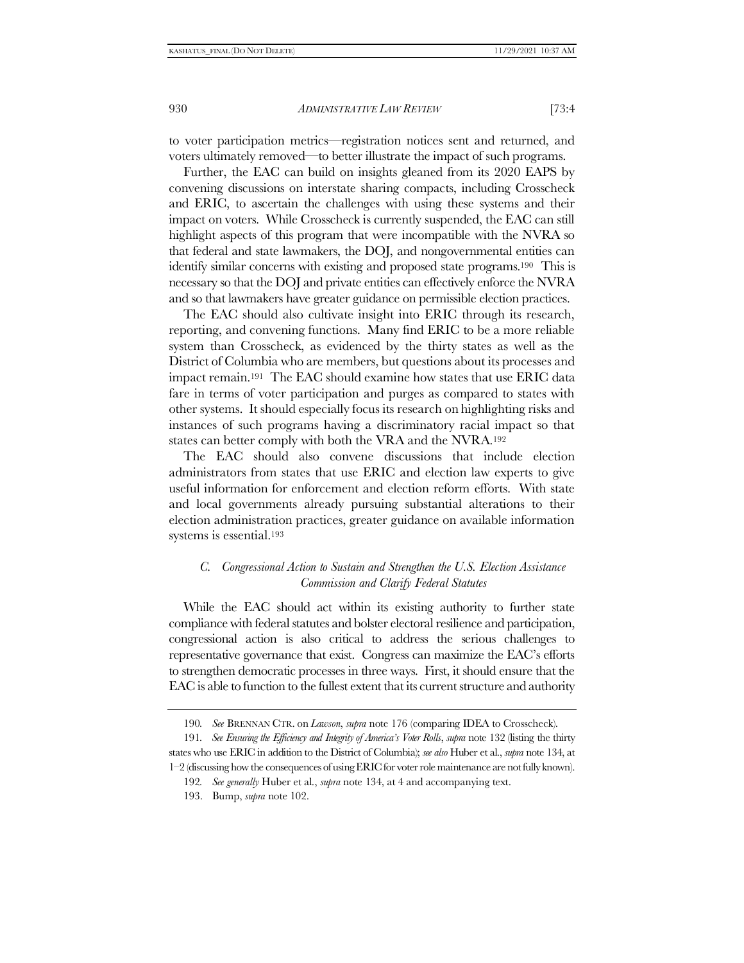to voter participation metrics—registration notices sent and returned, and voters ultimately removed—to better illustrate the impact of such programs.

Further, the EAC can build on insights gleaned from its 2020 EAPS by convening discussions on interstate sharing compacts, including Crosscheck and ERIC, to ascertain the challenges with using these systems and their impact on voters. While Crosscheck is currently suspended, the EAC can still highlight aspects of this program that were incompatible with the NVRA so that federal and state lawmakers, the DOJ, and nongovernmental entities can identify similar concerns with existing and proposed state programs.190 This is necessary so that the DOJ and private entities can effectively enforce the NVRA and so that lawmakers have greater guidance on permissible election practices.

The EAC should also cultivate insight into ERIC through its research, reporting, and convening functions. Many find ERIC to be a more reliable system than Crosscheck, as evidenced by the thirty states as well as the District of Columbia who are members, but questions about its processes and impact remain.191 The EAC should examine how states that use ERIC data fare in terms of voter participation and purges as compared to states with other systems. It should especially focus its research on highlighting risks and instances of such programs having a discriminatory racial impact so that states can better comply with both the VRA and the NVRA.<sup>192</sup>

The EAC should also convene discussions that include election administrators from states that use ERIC and election law experts to give useful information for enforcement and election reform efforts. With state and local governments already pursuing substantial alterations to their election administration practices, greater guidance on available information systems is essential.<sup>193</sup>

## *C. Congressional Action to Sustain and Strengthen the U.S. Election Assistance Commission and Clarify Federal Statutes*

While the EAC should act within its existing authority to further state compliance with federal statutes and bolster electoral resilience and participation, congressional action is also critical to address the serious challenges to representative governance that exist. Congress can maximize the EAC's efforts to strengthen democratic processes in three ways. First, it should ensure that the EAC is able to function to the fullest extent that its current structure and authority

<sup>190</sup>*. See* BRENNAN CTR. on *Lawson*, *supra* not[e 176](#page-25-1) (comparing IDEA to Crosscheck).

<sup>191</sup>*. See Ensuring the Efficiency and Integrity of America's Voter Rolls*, *supra* not[e 132](#page-20-1) (listing the thirty states who use ERIC in addition to the District of Columbia); *see also* Huber et al., *supra* not[e 134,](#page-20-2) at 1–2 (discussing how the consequences of using ERIC for voter role maintenance are not fully known).

<sup>192</sup>*. See generally* Huber et al., *supra* note [134,](#page-20-2) at 4 and accompanying text.

<sup>193.</sup> Bump, *supra* note [102.](#page-16-1)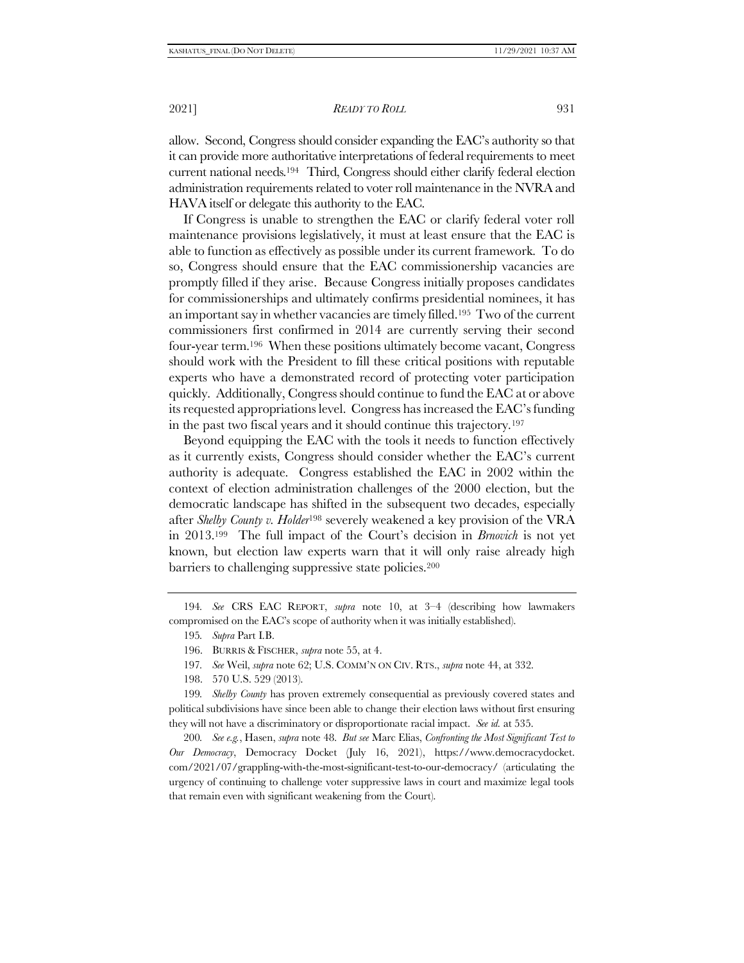allow. Second, Congress should consider expanding the EAC's authority so that it can provide more authoritative interpretations of federal requirements to meet current national needs.194 Third, Congress should either clarify federal election administration requirements related to voter roll maintenance in the NVRA and HAVA itself or delegate this authority to the EAC.

If Congress is unable to strengthen the EAC or clarify federal voter roll maintenance provisions legislatively, it must at least ensure that the EAC is able to function as effectively as possible under its current framework. To do so, Congress should ensure that the EAC commissionership vacancies are promptly filled if they arise. Because Congress initially proposes candidates for commissionerships and ultimately confirms presidential nominees, it has an important say in whether vacancies are timely filled.195 Two of the current commissioners first confirmed in 2014 are currently serving their second four-year term.196 When these positions ultimately become vacant, Congress should work with the President to fill these critical positions with reputable experts who have a demonstrated record of protecting voter participation quickly. Additionally, Congress should continue to fund the EAC at or above its requested appropriations level. Congress has increased the EAC's funding in the past two fiscal years and it should continue this trajectory.<sup>197</sup>

Beyond equipping the EAC with the tools it needs to function effectively as it currently exists, Congress should consider whether the EAC's current authority is adequate. Congress established the EAC in 2002 within the context of election administration challenges of the 2000 election, but the democratic landscape has shifted in the subsequent two decades, especially after *Shelby County v. Holder*<sup>198</sup> severely weakened a key provision of the VRA in 2013.199 The full impact of the Court's decision in *Brnovich* is not yet known, but election law experts warn that it will only raise already high barriers to challenging suppressive state policies.<sup>200</sup>

194*. See* CRS EAC REPORT, *supra* note [10,](#page-3-0) at 3–4 (describing how lawmakers compromised on the EAC's scope of authority when it was initially established).

- 195*. Supra* Part [I.B.](#page-9-0)
- 196. BURRIS & FISCHER, *supra* note [55,](#page-10-1) at 4.
- 197*. See* Weil, *supra* note [62;](#page-11-0) U.S. COMM'N ON CIV. RTS., *supra* note [44,](#page-8-1) at 332.
- 198. 570 U.S. 529 (2013).

199*. Shelby County* has proven extremely consequential as previously covered states and political subdivisions have since been able to change their election laws without first ensuring they will not have a discriminatory or disproportionate racial impact. *See id.* at 535.

200*. See e.g.*, Hasen, *supra* note [48.](#page-8-0) *But see* Marc Elias, *Confronting the Most Significant Test to Our Democracy*, Democracy Docket (July 16, 2021), https://www.democracydocket. com/2021/07/grappling-with-the-most-significant-test-to-our-democracy/ (articulating the urgency of continuing to challenge voter suppressive laws in court and maximize legal tools that remain even with significant weakening from the Court).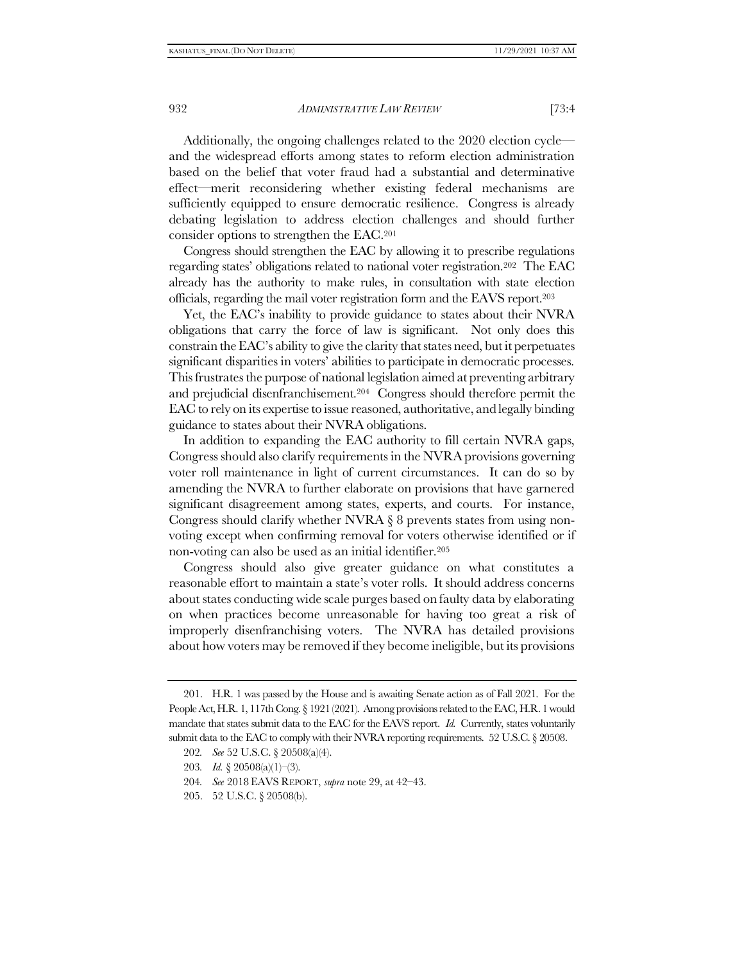Additionally, the ongoing challenges related to the 2020 election cycle and the widespread efforts among states to reform election administration based on the belief that voter fraud had a substantial and determinative effect—merit reconsidering whether existing federal mechanisms are sufficiently equipped to ensure democratic resilience. Congress is already debating legislation to address election challenges and should further consider options to strengthen the EAC.<sup>201</sup>

Congress should strengthen the EAC by allowing it to prescribe regulations regarding states' obligations related to national voter registration.<sup>202</sup> The EAC already has the authority to make rules, in consultation with state election officials, regarding the mail voter registration form and the EAVS report.<sup>203</sup>

Yet, the EAC's inability to provide guidance to states about their NVRA obligations that carry the force of law is significant. Not only does this constrain the EAC's ability to give the clarity that states need, but it perpetuates significant disparities in voters' abilities to participate in democratic processes. This frustrates the purpose of national legislation aimed at preventing arbitrary and prejudicial disenfranchisement.204 Congress should therefore permit the EAC to rely on its expertise to issue reasoned, authoritative, and legally binding guidance to states about their NVRA obligations.

In addition to expanding the EAC authority to fill certain NVRA gaps, Congress should also clarify requirements in the NVRA provisions governing voter roll maintenance in light of current circumstances. It can do so by amending the NVRA to further elaborate on provisions that have garnered significant disagreement among states, experts, and courts. For instance, Congress should clarify whether NVRA § 8 prevents states from using nonvoting except when confirming removal for voters otherwise identified or if non-voting can also be used as an initial identifier.<sup>205</sup>

Congress should also give greater guidance on what constitutes a reasonable effort to maintain a state's voter rolls. It should address concerns about states conducting wide scale purges based on faulty data by elaborating on when practices become unreasonable for having too great a risk of improperly disenfranchising voters. The NVRA has detailed provisions about how voters may be removed if they become ineligible, but its provisions

- 204*. See* 2018 EAVS REPORT, *supra* note [29,](#page-5-1) at 42–43.
- 205. 52 U.S.C. § 20508(b).

<sup>201.</sup> H.R. 1 was passed by the House and is awaiting Senate action as of Fall 2021. For the People Act, H.R. 1, 117th Cong. § 1921 (2021). Among provisions related to the EAC, H.R. 1 would mandate that states submit data to the EAC for the EAVS report. *Id.* Currently, states voluntarily submit data to the EAC to comply with their NVRA reporting requirements. 52 U.S.C. § 20508.

<sup>202</sup>*. See* 52 U.S.C. § 20508(a)(4).

<sup>203</sup>*. Id.* § 20508(a)(1)–(3).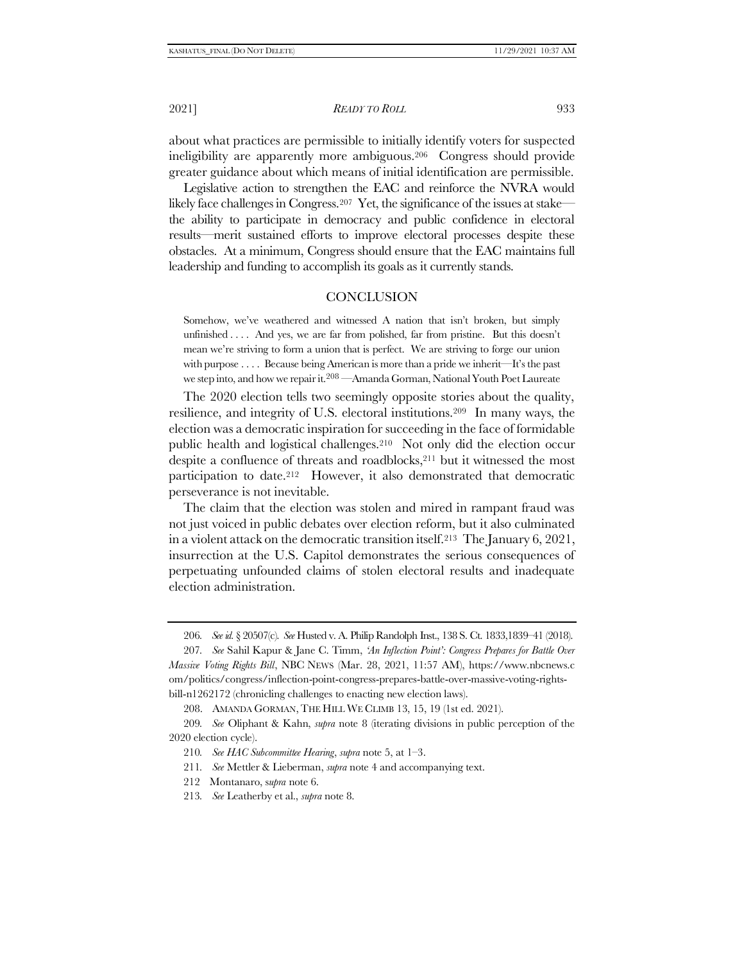2021] *READY TO ROLL* 933

about what practices are permissible to initially identify voters for suspected ineligibility are apparently more ambiguous.206 Congress should provide greater guidance about which means of initial identification are permissible.

Legislative action to strengthen the EAC and reinforce the NVRA would likely face challenges in Congress.207 Yet, the significance of the issues at stake the ability to participate in democracy and public confidence in electoral results—merit sustained efforts to improve electoral processes despite these obstacles. At a minimum, Congress should ensure that the EAC maintains full leadership and funding to accomplish its goals as it currently stands.

#### **CONCLUSION**

Somehow, we've weathered and witnessed A nation that isn't broken, but simply unfinished . . . . And yes, we are far from polished, far from pristine. But this doesn't mean we're striving to form a union that is perfect. We are striving to forge our union with purpose . . . . Because being American is more than a pride we inherit—It's the past we step into, and how we repair it.<sup>208</sup> —Amanda Gorman, National Youth Poet Laureate

The 2020 election tells two seemingly opposite stories about the quality, resilience, and integrity of U.S. electoral institutions.209 In many ways, the election was a democratic inspiration for succeeding in the face of formidable public health and logistical challenges.210 Not only did the election occur despite a confluence of threats and roadblocks, <sup>211</sup> but it witnessed the most participation to date.212 However, it also demonstrated that democratic perseverance is not inevitable.

The claim that the election was stolen and mired in rampant fraud was not just voiced in public debates over election reform, but it also culminated in a violent attack on the democratic transition itself.213 The January 6, 2021, insurrection at the U.S. Capitol demonstrates the serious consequences of perpetuating unfounded claims of stolen electoral results and inadequate election administration.

- 211*. See* Mettler & Lieberman, *supra* not[e 4](#page-1-2) and accompanying text.
- 212 Montanaro, s*upra* not[e 6.](#page-2-2)
- 213*. See* Leatherby et al., *supra* note [8.](#page-2-1)

<sup>206</sup>*. See id.* § 20507(c). *See* Husted v. A. Philip Randolph Inst., 138 S. Ct. 1833,1839–41 (2018).

<sup>207</sup>*. See* Sahil Kapur & Jane C. Timm, *'An Inflection Point': Congress Prepares for Battle Over Massive Voting Rights Bill*, NBC NEWS (Mar. 28, 2021, 11:57 AM), https://www.nbcnews.c om/politics/congress/inflection-point-congress-prepares-battle-over-massive-voting-rightsbill-n1262172 (chronicling challenges to enacting new election laws).

<sup>208.</sup> AMANDA GORMAN,THE HILL WE CLIMB 13, 15, 19 (1st ed. 2021).

<sup>209</sup>*. See* Oliphant & Kahn, *supra* note [8](#page-2-1) (iterating divisions in public perception of the 2020 election cycle).

<sup>210</sup>*. See HAC Subcommittee Hearing*, *supra* not[e 5,](#page-2-0) at 1–3.